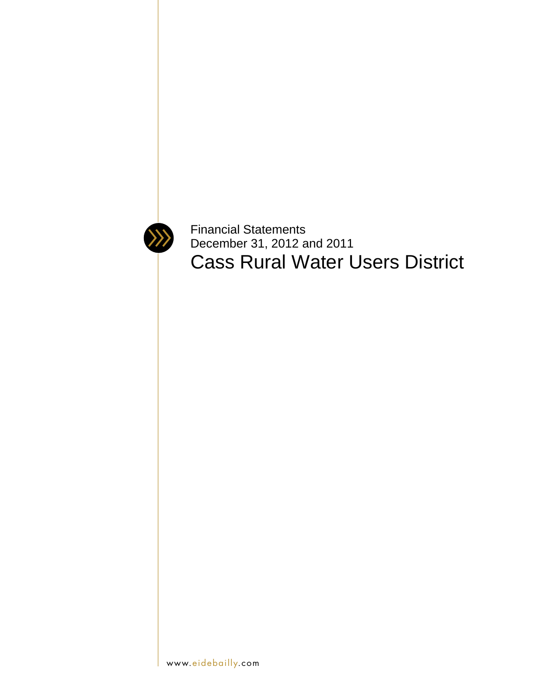

Financial Statements December 31, 2012 and 2011 Cass Rural Water Users District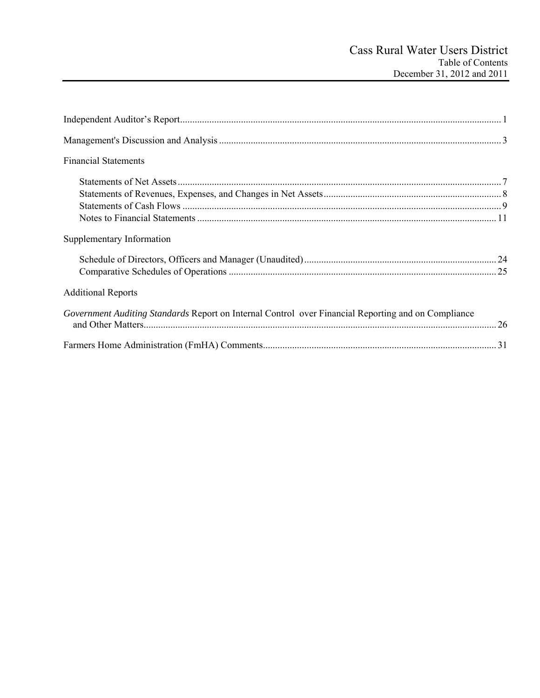| <b>Financial Statements</b>                                                                         |  |
|-----------------------------------------------------------------------------------------------------|--|
|                                                                                                     |  |
|                                                                                                     |  |
|                                                                                                     |  |
|                                                                                                     |  |
| Supplementary Information                                                                           |  |
|                                                                                                     |  |
|                                                                                                     |  |
| <b>Additional Reports</b>                                                                           |  |
| Government Auditing Standards Report on Internal Control over Financial Reporting and on Compliance |  |
|                                                                                                     |  |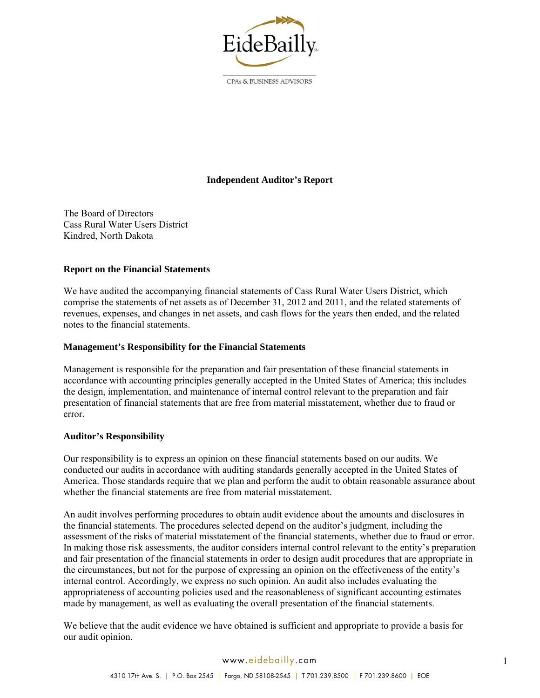

CPAs & BUSINESS ADVISORS

# **Independent Auditor's Report**

The Board of Directors Cass Rural Water Users District Kindred, North Dakota

## **Report on the Financial Statements**

We have audited the accompanying financial statements of Cass Rural Water Users District, which comprise the statements of net assets as of December 31, 2012 and 2011, and the related statements of revenues, expenses, and changes in net assets, and cash flows for the years then ended, and the related notes to the financial statements.

#### **Management's Responsibility for the Financial Statements**

Management is responsible for the preparation and fair presentation of these financial statements in accordance with accounting principles generally accepted in the United States of America; this includes the design, implementation, and maintenance of internal control relevant to the preparation and fair presentation of financial statements that are free from material misstatement, whether due to fraud or error.

#### **Auditor's Responsibility**

Our responsibility is to express an opinion on these financial statements based on our audits. We conducted our audits in accordance with auditing standards generally accepted in the United States of America. Those standards require that we plan and perform the audit to obtain reasonable assurance about whether the financial statements are free from material misstatement.

An audit involves performing procedures to obtain audit evidence about the amounts and disclosures in the financial statements. The procedures selected depend on the auditor's judgment, including the assessment of the risks of material misstatement of the financial statements, whether due to fraud or error. In making those risk assessments, the auditor considers internal control relevant to the entity's preparation and fair presentation of the financial statements in order to design audit procedures that are appropriate in the circumstances, but not for the purpose of expressing an opinion on the effectiveness of the entity's internal control. Accordingly, we express no such opinion. An audit also includes evaluating the appropriateness of accounting policies used and the reasonableness of significant accounting estimates made by management, as well as evaluating the overall presentation of the financial statements.

We believe that the audit evidence we have obtained is sufficient and appropriate to provide a basis for our audit opinion.

#### www.eidebailly.com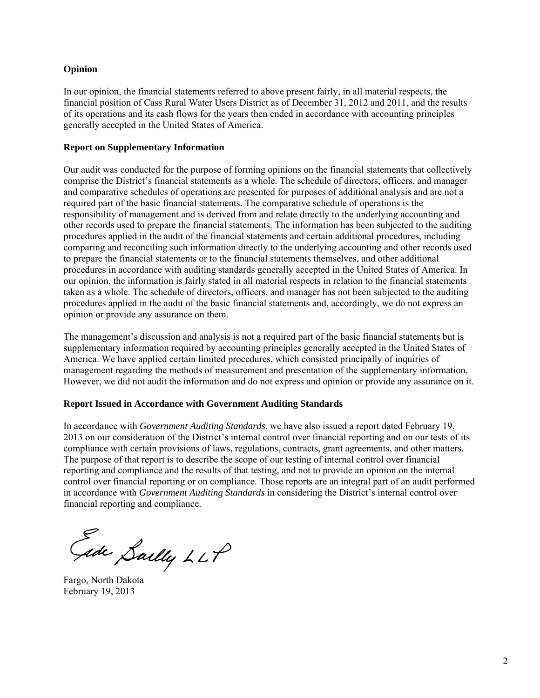## **Opinion**

In our opinion, the financial statements referred to above present fairly, in all material respects, the financial position of Cass Rural Water Users District as of December 31, 2012 and 2011, and the results of its operations and its cash flows for the years then ended in accordance with accounting principles generally accepted in the United States of America.

#### **Report on Supplementary Information**

Our audit was conducted for the purpose of forming opinions on the financial statements that collectively comprise the District's financial statements as a whole. The schedule of directors, officers, and manager and comparative schedules of operations are presented for purposes of additional analysis and are not a required part of the basic financial statements. The comparative schedule of operations is the responsibility of management and is derived from and relate directly to the underlying accounting and other records used to prepare the financial statements. The information has been subjected to the auditing procedures applied in the audit of the financial statements and certain additional procedures, including comparing and reconciling such information directly to the underlying accounting and other records used to prepare the financial statements or to the financial statements themselves, and other additional procedures in accordance with auditing standards generally accepted in the United States of America. In our opinion, the information is fairly stated in all material respects in relation to the financial statements taken as a whole. The schedule of directors, officers, and manager has not been subjected to the auditing procedures applied in the audit of the basic financial statements and, accordingly, we do not express an opinion or provide any assurance on them.

The management's discussion and analysis is not a required part of the basic financial statements but is supplementary information required by accounting principles generally accepted in the United States of America. We have applied certain limited procedures, which consisted principally of inquiries of management regarding the methods of measurement and presentation of the supplementary information. However, we did not audit the information and do not express and opinion or provide any assurance on it.

#### **Report Issued in Accordance with Government Auditing Standards**

In accordance with *Government Auditing Standards*, we have also issued a report dated February 19, 2013 on our consideration of the District's internal control over financial reporting and on our tests of its compliance with certain provisions of laws, regulations, contracts, grant agreements, and other matters. The purpose of that report is to describe the scope of our testing of internal control over financial reporting and compliance and the results of that testing, and not to provide an opinion on the internal control over financial reporting or on compliance. Those reports are an integral part of an audit performed in accordance with *Government Auditing Standards* in considering the District's internal control over financial reporting and compliance.

Gide Sailly LLP

Fargo, North Dakota February 19, 2013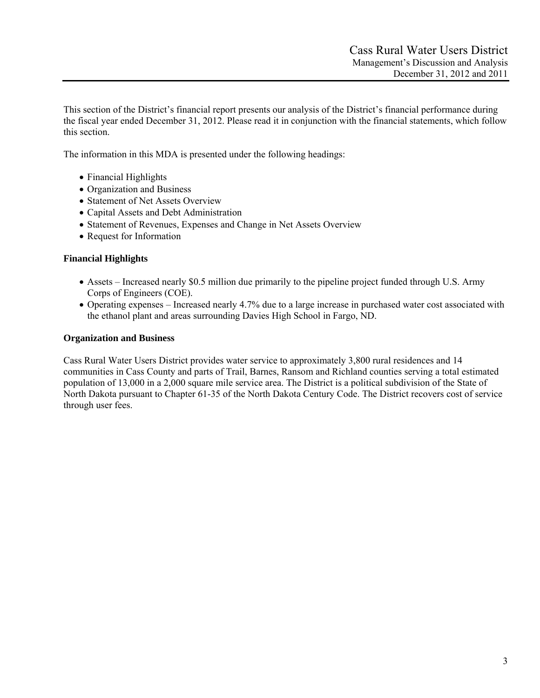This section of the District's financial report presents our analysis of the District's financial performance during the fiscal year ended December 31, 2012. Please read it in conjunction with the financial statements, which follow this section.

The information in this MDA is presented under the following headings:

- Financial Highlights
- Organization and Business
- Statement of Net Assets Overview
- Capital Assets and Debt Administration
- Statement of Revenues, Expenses and Change in Net Assets Overview
- Request for Information

## **Financial Highlights**

- Assets Increased nearly \$0.5 million due primarily to the pipeline project funded through U.S. Army Corps of Engineers (COE).
- Operating expenses Increased nearly 4.7% due to a large increase in purchased water cost associated with the ethanol plant and areas surrounding Davies High School in Fargo, ND.

## **Organization and Business**

Cass Rural Water Users District provides water service to approximately 3,800 rural residences and 14 communities in Cass County and parts of Trail, Barnes, Ransom and Richland counties serving a total estimated population of 13,000 in a 2,000 square mile service area. The District is a political subdivision of the State of North Dakota pursuant to Chapter 61-35 of the North Dakota Century Code. The District recovers cost of service through user fees.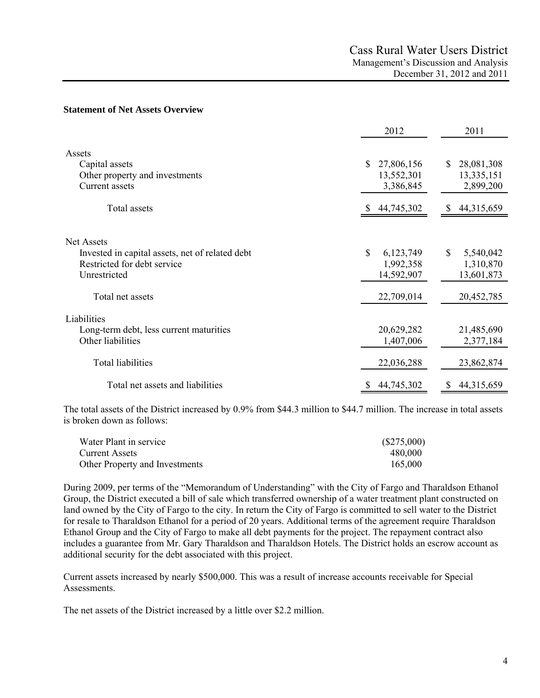#### **Statement of Net Assets Overview**

|                                                                                                              | 2012                                                   | 2011                                                   |
|--------------------------------------------------------------------------------------------------------------|--------------------------------------------------------|--------------------------------------------------------|
| Assets<br>Capital assets<br>Other property and investments<br><b>Current assets</b>                          | 27,806,156<br><sup>\$</sup><br>13,552,301<br>3,386,845 | 28,081,308<br><sup>\$</sup><br>13,335,151<br>2,899,200 |
| Total assets                                                                                                 | 44,745,302                                             | S<br>44,315,659                                        |
| Net Assets<br>Invested in capital assets, net of related debt<br>Restricted for debt service<br>Unrestricted | \$<br>6,123,749<br>1,992,358<br>14,592,907             | $\mathbb{S}$<br>5,540,042<br>1,310,870<br>13,601,873   |
| Total net assets                                                                                             | 22,709,014                                             | 20,452,785                                             |
| Liabilities<br>Long-term debt, less current maturities<br>Other liabilities                                  | 20,629,282<br>1,407,006                                | 21,485,690<br>2,377,184                                |
| Total liabilities                                                                                            | 22,036,288                                             | 23,862,874                                             |
| Total net assets and liabilities                                                                             | 44,745,302                                             | 44,315,659<br>S                                        |

The total assets of the District increased by 0.9% from \$44.3 million to \$44.7 million. The increase in total assets is broken down as follows:

| Water Plant in service         | $(\$275,000)$ |
|--------------------------------|---------------|
| <b>Current Assets</b>          | 480,000       |
| Other Property and Investments | 165,000       |

During 2009, per terms of the "Memorandum of Understanding" with the City of Fargo and Tharaldson Ethanol Group, the District executed a bill of sale which transferred ownership of a water treatment plant constructed on land owned by the City of Fargo to the city. In return the City of Fargo is committed to sell water to the District for resale to Tharaldson Ethanol for a period of 20 years. Additional terms of the agreement require Tharaldson Ethanol Group and the City of Fargo to make all debt payments for the project. The repayment contract also includes a guarantee from Mr. Gary Tharaldson and Tharaldson Hotels. The District holds an escrow account as additional security for the debt associated with this project.

Current assets increased by nearly \$500,000. This was a result of increase accounts receivable for Special Assessments.

The net assets of the District increased by a little over \$2.2 million.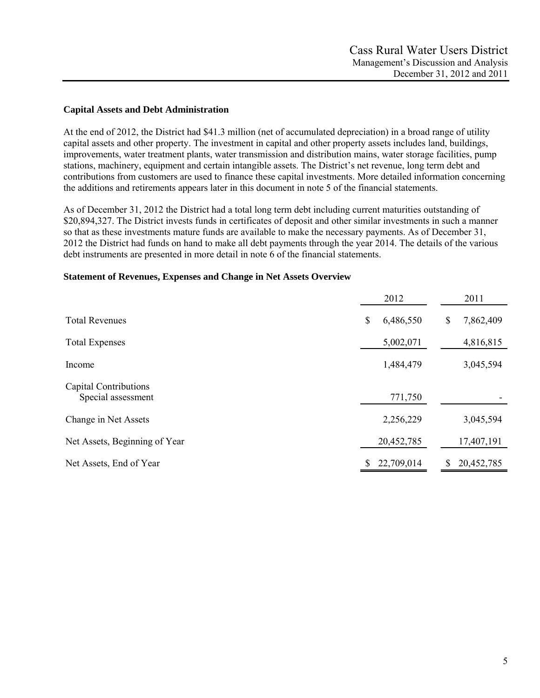### **Capital Assets and Debt Administration**

At the end of 2012, the District had \$41.3 million (net of accumulated depreciation) in a broad range of utility capital assets and other property. The investment in capital and other property assets includes land, buildings, improvements, water treatment plants, water transmission and distribution mains, water storage facilities, pump stations, machinery, equipment and certain intangible assets. The District's net revenue, long term debt and contributions from customers are used to finance these capital investments. More detailed information concerning the additions and retirements appears later in this document in note 5 of the financial statements.

As of December 31, 2012 the District had a total long term debt including current maturities outstanding of \$20,894,327. The District invests funds in certificates of deposit and other similar investments in such a manner so that as these investments mature funds are available to make the necessary payments. As of December 31, 2012 the District had funds on hand to make all debt payments through the year 2014. The details of the various debt instruments are presented in more detail in note 6 of the financial statements.

|                                             | 2012             | 2011            |
|---------------------------------------------|------------------|-----------------|
| <b>Total Revenues</b>                       | \$<br>6,486,550  | \$<br>7,862,409 |
| <b>Total Expenses</b>                       | 5,002,071        | 4,816,815       |
| Income                                      | 1,484,479        | 3,045,594       |
| Capital Contributions<br>Special assessment | 771,750          |                 |
| Change in Net Assets                        | 2,256,229        | 3,045,594       |
| Net Assets, Beginning of Year               | 20,452,785       | 17,407,191      |
| Net Assets, End of Year                     | \$<br>22,709,014 | 20,452,785      |

#### **Statement of Revenues, Expenses and Change in Net Assets Overview**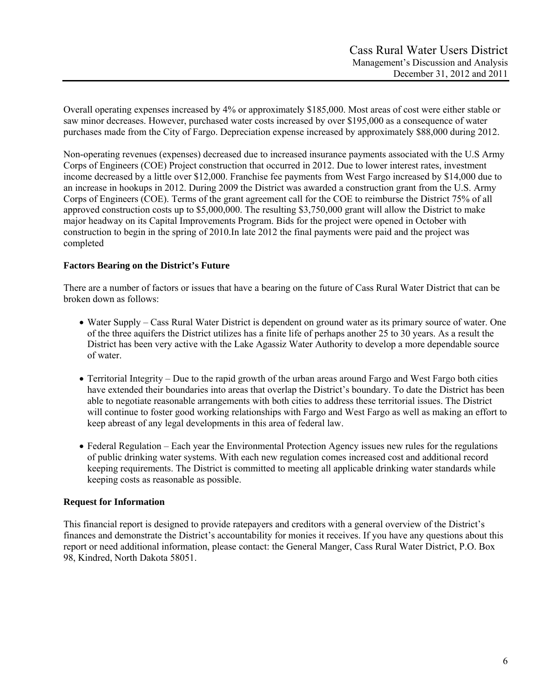Overall operating expenses increased by 4% or approximately \$185,000. Most areas of cost were either stable or saw minor decreases. However, purchased water costs increased by over \$195,000 as a consequence of water purchases made from the City of Fargo. Depreciation expense increased by approximately \$88,000 during 2012.

Non-operating revenues (expenses) decreased due to increased insurance payments associated with the U.S Army Corps of Engineers (COE) Project construction that occurred in 2012. Due to lower interest rates, investment income decreased by a little over \$12,000. Franchise fee payments from West Fargo increased by \$14,000 due to an increase in hookups in 2012. During 2009 the District was awarded a construction grant from the U.S. Army Corps of Engineers (COE). Terms of the grant agreement call for the COE to reimburse the District 75% of all approved construction costs up to \$5,000,000. The resulting \$3,750,000 grant will allow the District to make major headway on its Capital Improvements Program. Bids for the project were opened in October with construction to begin in the spring of 2010.In late 2012 the final payments were paid and the project was completed

# **Factors Bearing on the District's Future**

There are a number of factors or issues that have a bearing on the future of Cass Rural Water District that can be broken down as follows:

- Water Supply Cass Rural Water District is dependent on ground water as its primary source of water. One of the three aquifers the District utilizes has a finite life of perhaps another 25 to 30 years. As a result the District has been very active with the Lake Agassiz Water Authority to develop a more dependable source of water.
- Territorial Integrity Due to the rapid growth of the urban areas around Fargo and West Fargo both cities have extended their boundaries into areas that overlap the District's boundary. To date the District has been able to negotiate reasonable arrangements with both cities to address these territorial issues. The District will continue to foster good working relationships with Fargo and West Fargo as well as making an effort to keep abreast of any legal developments in this area of federal law.
- Federal Regulation Each year the Environmental Protection Agency issues new rules for the regulations of public drinking water systems. With each new regulation comes increased cost and additional record keeping requirements. The District is committed to meeting all applicable drinking water standards while keeping costs as reasonable as possible.

# **Request for Information**

This financial report is designed to provide ratepayers and creditors with a general overview of the District's finances and demonstrate the District's accountability for monies it receives. If you have any questions about this report or need additional information, please contact: the General Manger, Cass Rural Water District, P.O. Box 98, Kindred, North Dakota 58051.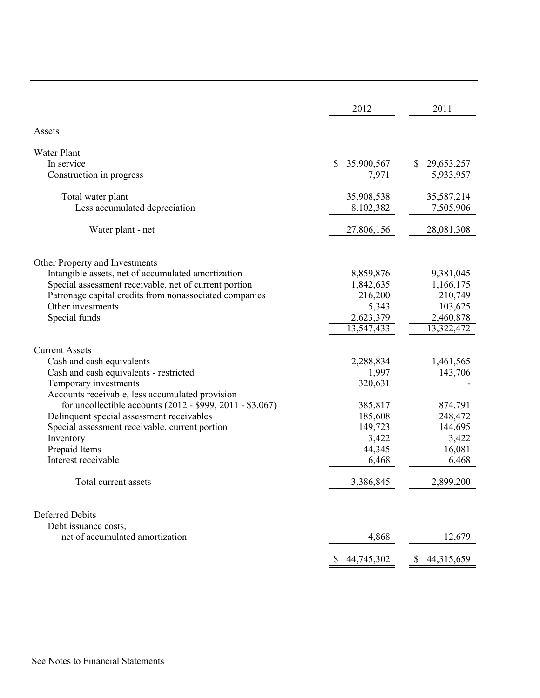|                                                           | 2012             | 2011                       |
|-----------------------------------------------------------|------------------|----------------------------|
| Assets                                                    |                  |                            |
| <b>Water Plant</b>                                        |                  |                            |
| In service                                                | 35,900,567<br>\$ | 29,653,257                 |
| Construction in progress                                  | 7,971            | 5,933,957                  |
|                                                           |                  |                            |
| Total water plant                                         | 35,908,538       | 35,587,214                 |
| Less accumulated depreciation                             | 8,102,382        | 7,505,906                  |
|                                                           |                  |                            |
| Water plant - net                                         | 27,806,156       | 28,081,308                 |
|                                                           |                  |                            |
|                                                           |                  |                            |
| Other Property and Investments                            |                  |                            |
| Intangible assets, net of accumulated amortization        | 8,859,876        | 9,381,045                  |
| Special assessment receivable, net of current portion     | 1,842,635        | 1,166,175                  |
| Patronage capital credits from nonassociated companies    | 216,200          | 210,749                    |
| Other investments                                         | 5,343            | 103,625                    |
| Special funds                                             | 2,623,379        | 2,460,878                  |
|                                                           | 13,547,433       | 13,322,472                 |
| <b>Current Assets</b>                                     |                  |                            |
| Cash and cash equivalents                                 | 2,288,834        | 1,461,565                  |
| Cash and cash equivalents - restricted                    | 1,997            | 143,706                    |
| Temporary investments                                     | 320,631          |                            |
| Accounts receivable, less accumulated provision           |                  |                            |
| for uncollectible accounts (2012 - \$999, 2011 - \$3,067) | 385,817          | 874,791                    |
| Delinquent special assessment receivables                 | 185,608          | 248,472                    |
|                                                           | 149,723          | 144,695                    |
| Special assessment receivable, current portion            |                  |                            |
| Inventory                                                 | 3,422            | 3,422                      |
| Prepaid Items<br>Interest receivable                      | 44,345           | 16,081                     |
|                                                           | 6,468            | 6,468                      |
| Total current assets                                      | 3,386,845        | 2,899,200                  |
|                                                           |                  |                            |
|                                                           |                  |                            |
| <b>Deferred Debits</b>                                    |                  |                            |
| Debt issuance costs,                                      |                  |                            |
| net of accumulated amortization                           | 4,868            | 12,679                     |
|                                                           | \$<br>44,745,302 | $\mathbb{S}$<br>44,315,659 |
|                                                           |                  |                            |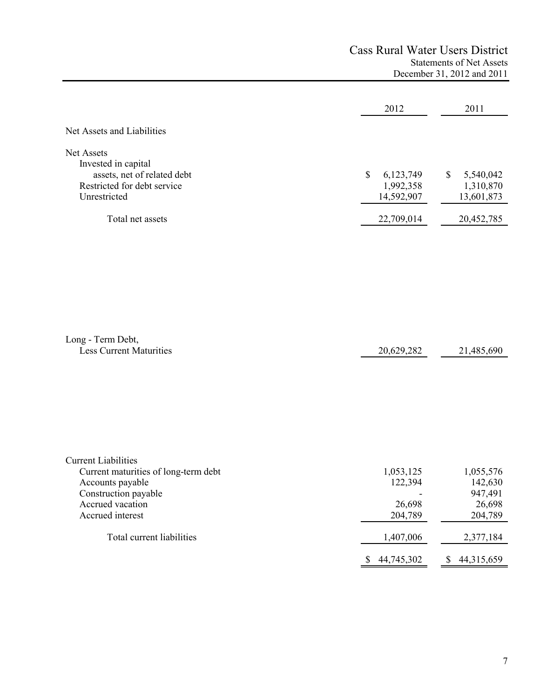# Cass Rural Water Users District Statements of Net Assets December 31, 2012 and 2011

|                             | 2012           | 2011            |
|-----------------------------|----------------|-----------------|
| Net Assets and Liabilities  |                |                 |
| Net Assets                  |                |                 |
| Invested in capital         |                |                 |
| assets, net of related debt | 6,123,749<br>S | 5,540,042<br>\$ |
| Restricted for debt service | 1,992,358      | 1,310,870       |
| Unrestricted                | 14,592,907     | 13,601,873      |
| Total net assets            | 22,709,014     | 20,452,785      |
|                             |                |                 |

| Long - Term Debt,              |            |            |
|--------------------------------|------------|------------|
| <b>Less Current Maturities</b> | 20,629,282 | 21,485,690 |
|                                |            |            |

| <b>Current Liabilities</b>           |            |            |
|--------------------------------------|------------|------------|
| Current maturities of long-term debt | 1,053,125  | 1,055,576  |
| Accounts payable                     | 122,394    | 142,630    |
| Construction payable                 |            | 947,491    |
| Accrued vacation                     | 26,698     | 26,698     |
| Accrued interest                     | 204,789    | 204,789    |
| Total current liabilities            | 1,407,006  | 2,377,184  |
|                                      | 44,745,302 | 44,315,659 |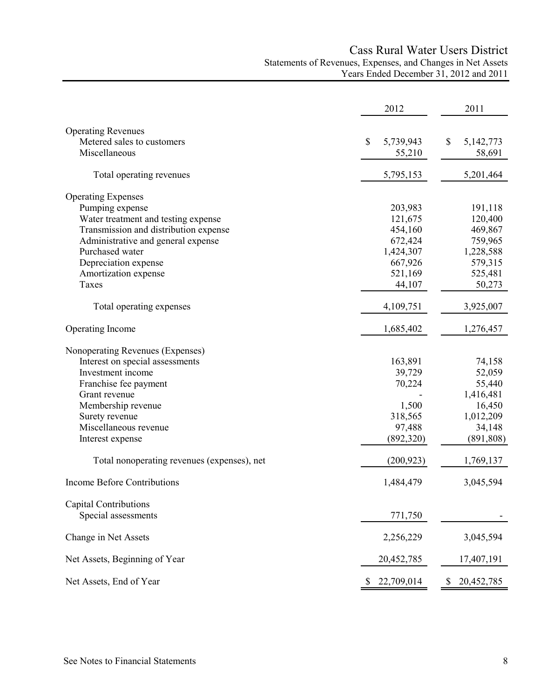# Cass Rural Water Users District Statements of Revenues, Expenses, and Changes in Net Assets Years Ended December 31, 2012 and 2011

|                                             | 2012            | 2011             |
|---------------------------------------------|-----------------|------------------|
| <b>Operating Revenues</b>                   |                 |                  |
| Metered sales to customers                  | \$<br>5,739,943 | \$<br>5,142,773  |
| Miscellaneous                               | 55,210          | 58,691           |
|                                             |                 |                  |
| Total operating revenues                    | 5,795,153       | 5,201,464        |
| <b>Operating Expenses</b>                   |                 |                  |
| Pumping expense                             | 203,983         | 191,118          |
| Water treatment and testing expense         | 121,675         | 120,400          |
| Transmission and distribution expense       | 454,160         | 469,867          |
| Administrative and general expense          | 672,424         | 759,965          |
| Purchased water                             | 1,424,307       | 1,228,588        |
| Depreciation expense                        | 667,926         | 579,315          |
| Amortization expense                        | 521,169         | 525,481          |
| Taxes                                       | 44,107          | 50,273           |
| Total operating expenses                    | 4,109,751       | 3,925,007        |
| Operating Income                            | 1,685,402       | 1,276,457        |
|                                             |                 |                  |
| Nonoperating Revenues (Expenses)            |                 |                  |
| Interest on special assessments             | 163,891         | 74,158           |
| Investment income                           | 39,729          | 52,059           |
| Franchise fee payment                       | 70,224          | 55,440           |
| Grant revenue                               |                 | 1,416,481        |
| Membership revenue                          | 1,500           | 16,450           |
| Surety revenue                              | 318,565         | 1,012,209        |
| Miscellaneous revenue                       | 97,488          | 34,148           |
| Interest expense                            | (892,320)       | (891, 808)       |
| Total nonoperating revenues (expenses), net | (200, 923)      | 1,769,137        |
| <b>Income Before Contributions</b>          | 1,484,479       | 3,045,594        |
| Capital Contributions                       |                 |                  |
| Special assessments                         | 771,750         |                  |
|                                             |                 |                  |
| Change in Net Assets                        | 2,256,229       | 3,045,594        |
| Net Assets, Beginning of Year               | 20,452,785      | 17,407,191       |
| Net Assets, End of Year                     | 22,709,014<br>P | 20,452,785<br>\$ |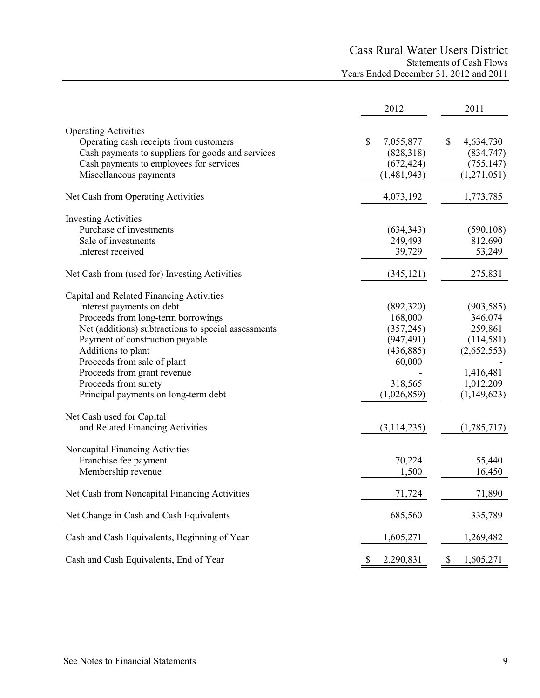# Cass Rural Water Users District Statements of Cash Flows

Years Ended December 31, 2012 and 2011

|                                                                                                                                                                                                                                                                                                                                                           | 2012                                                                                               | 2011                                                                                                    |
|-----------------------------------------------------------------------------------------------------------------------------------------------------------------------------------------------------------------------------------------------------------------------------------------------------------------------------------------------------------|----------------------------------------------------------------------------------------------------|---------------------------------------------------------------------------------------------------------|
| <b>Operating Activities</b><br>Operating cash receipts from customers<br>Cash payments to suppliers for goods and services<br>Cash payments to employees for services<br>Miscellaneous payments                                                                                                                                                           | \$<br>7,055,877<br>(828,318)<br>(672, 424)<br>(1,481,943)                                          | \$<br>4,634,730<br>(834,747)<br>(755, 147)<br>(1,271,051)                                               |
| Net Cash from Operating Activities                                                                                                                                                                                                                                                                                                                        | 4,073,192                                                                                          | 1,773,785                                                                                               |
| <b>Investing Activities</b><br>Purchase of investments<br>Sale of investments<br>Interest received                                                                                                                                                                                                                                                        | (634, 343)<br>249,493<br>39,729                                                                    | (590, 108)<br>812,690<br>53,249                                                                         |
| Net Cash from (used for) Investing Activities                                                                                                                                                                                                                                                                                                             | (345, 121)                                                                                         | 275,831                                                                                                 |
| Capital and Related Financing Activities<br>Interest payments on debt<br>Proceeds from long-term borrowings<br>Net (additions) subtractions to special assessments<br>Payment of construction payable<br>Additions to plant<br>Proceeds from sale of plant<br>Proceeds from grant revenue<br>Proceeds from surety<br>Principal payments on long-term debt | (892,320)<br>168,000<br>(357, 245)<br>(947, 491)<br>(436, 885)<br>60,000<br>318,565<br>(1,026,859) | (903, 585)<br>346,074<br>259,861<br>(114,581)<br>(2,652,553)<br>1,416,481<br>1,012,209<br>(1, 149, 623) |
| Net Cash used for Capital<br>and Related Financing Activities                                                                                                                                                                                                                                                                                             | (3,114,235)                                                                                        | (1,785,717)                                                                                             |
| Noncapital Financing Activities<br>Franchise fee payment<br>Membership revenue                                                                                                                                                                                                                                                                            | 70,224<br>1,500                                                                                    | 55,440<br>16,450                                                                                        |
| Net Cash from Noncapital Financing Activities                                                                                                                                                                                                                                                                                                             | 71,724                                                                                             | 71,890                                                                                                  |
| Net Change in Cash and Cash Equivalents                                                                                                                                                                                                                                                                                                                   | 685,560                                                                                            | 335,789                                                                                                 |
| Cash and Cash Equivalents, Beginning of Year                                                                                                                                                                                                                                                                                                              | 1,605,271                                                                                          | 1,269,482                                                                                               |
| Cash and Cash Equivalents, End of Year                                                                                                                                                                                                                                                                                                                    | \$<br>2,290,831                                                                                    | \$<br>1,605,271                                                                                         |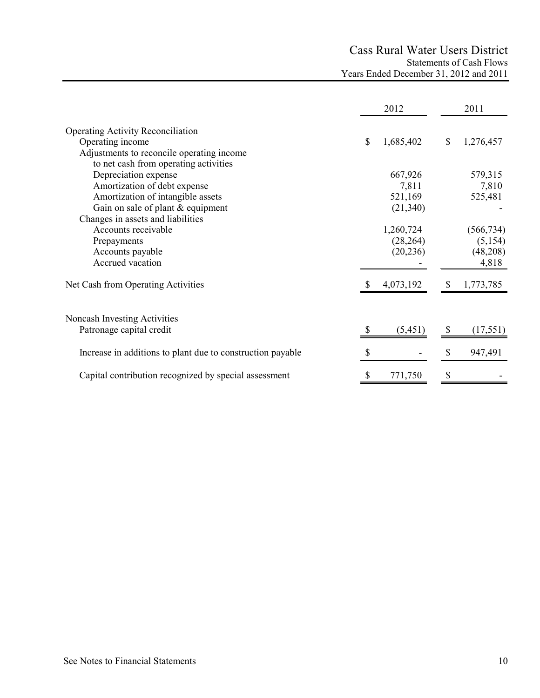# Cass Rural Water Users District Statements of Cash Flows Years Ended December 31, 2012 and 2011

|                                                            | 2012            | 2011            |
|------------------------------------------------------------|-----------------|-----------------|
| <b>Operating Activity Reconciliation</b>                   |                 |                 |
| Operating income                                           | \$<br>1,685,402 | \$<br>1,276,457 |
| Adjustments to reconcile operating income                  |                 |                 |
| to net cash from operating activities                      |                 |                 |
| Depreciation expense                                       | 667,926         | 579,315         |
| Amortization of debt expense                               | 7,811           | 7,810           |
| Amortization of intangible assets                          | 521,169         | 525,481         |
| Gain on sale of plant & equipment                          | (21, 340)       |                 |
| Changes in assets and liabilities                          |                 |                 |
| Accounts receivable                                        | 1,260,724       | (566, 734)      |
| Prepayments                                                | (28, 264)       | (5,154)         |
| Accounts payable                                           | (20, 236)       | (48,208)        |
| Accrued vacation                                           |                 | 4,818           |
| Net Cash from Operating Activities                         | 4,073,192       | 1,773,785       |
| Noncash Investing Activities                               |                 |                 |
| Patronage capital credit                                   | (5, 451)        | (17, 551)       |
|                                                            |                 |                 |
| Increase in additions to plant due to construction payable |                 | 947,491         |
| Capital contribution recognized by special assessment      | \$<br>771,750   | \$              |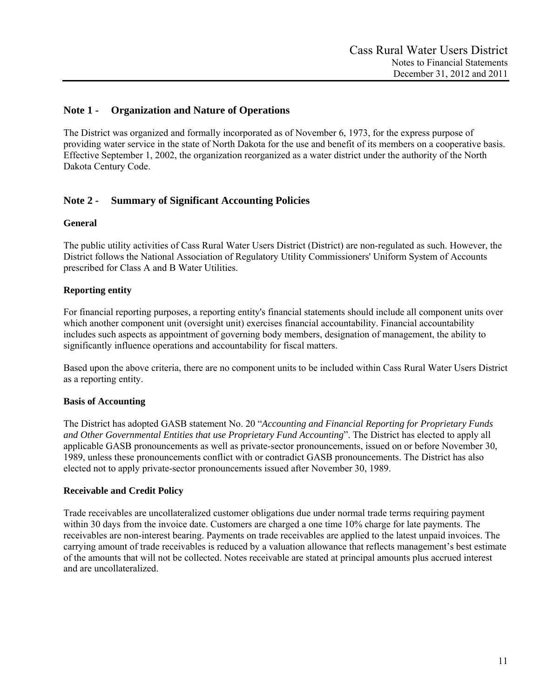# **Note 1 - Organization and Nature of Operations**

The District was organized and formally incorporated as of November 6, 1973, for the express purpose of providing water service in the state of North Dakota for the use and benefit of its members on a cooperative basis. Effective September 1, 2002, the organization reorganized as a water district under the authority of the North Dakota Century Code.

# **Note 2 - Summary of Significant Accounting Policies**

#### **General**

The public utility activities of Cass Rural Water Users District (District) are non-regulated as such. However, the District follows the National Association of Regulatory Utility Commissioners' Uniform System of Accounts prescribed for Class A and B Water Utilities.

## **Reporting entity**

For financial reporting purposes, a reporting entity's financial statements should include all component units over which another component unit (oversight unit) exercises financial accountability. Financial accountability includes such aspects as appointment of governing body members, designation of management, the ability to significantly influence operations and accountability for fiscal matters.

Based upon the above criteria, there are no component units to be included within Cass Rural Water Users District as a reporting entity.

#### **Basis of Accounting**

The District has adopted GASB statement No. 20 "*Accounting and Financial Reporting for Proprietary Funds and Other Governmental Entities that use Proprietary Fund Accounting*". The District has elected to apply all applicable GASB pronouncements as well as private-sector pronouncements, issued on or before November 30, 1989, unless these pronouncements conflict with or contradict GASB pronouncements. The District has also elected not to apply private-sector pronouncements issued after November 30, 1989.

#### **Receivable and Credit Policy**

Trade receivables are uncollateralized customer obligations due under normal trade terms requiring payment within 30 days from the invoice date. Customers are charged a one time 10% charge for late payments. The receivables are non-interest bearing. Payments on trade receivables are applied to the latest unpaid invoices. The carrying amount of trade receivables is reduced by a valuation allowance that reflects management's best estimate of the amounts that will not be collected. Notes receivable are stated at principal amounts plus accrued interest and are uncollateralized.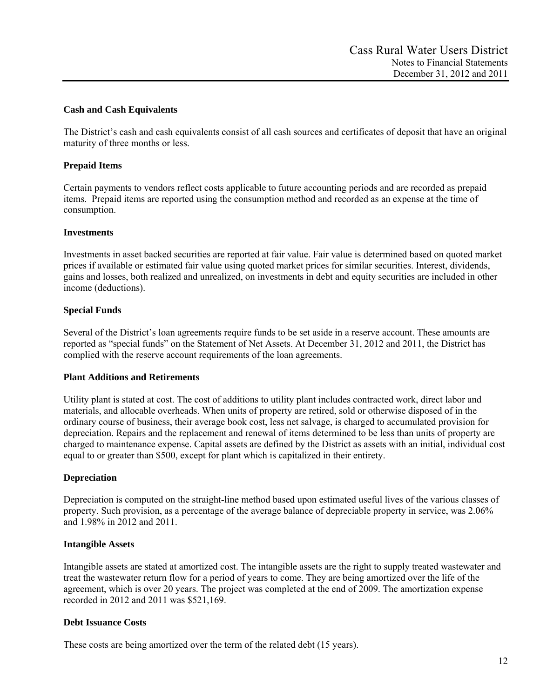# **Cash and Cash Equivalents**

The District's cash and cash equivalents consist of all cash sources and certificates of deposit that have an original maturity of three months or less.

# **Prepaid Items**

Certain payments to vendors reflect costs applicable to future accounting periods and are recorded as prepaid items. Prepaid items are reported using the consumption method and recorded as an expense at the time of consumption.

## **Investments**

Investments in asset backed securities are reported at fair value. Fair value is determined based on quoted market prices if available or estimated fair value using quoted market prices for similar securities. Interest, dividends, gains and losses, both realized and unrealized, on investments in debt and equity securities are included in other income (deductions).

## **Special Funds**

Several of the District's loan agreements require funds to be set aside in a reserve account. These amounts are reported as "special funds" on the Statement of Net Assets. At December 31, 2012 and 2011, the District has complied with the reserve account requirements of the loan agreements.

## **Plant Additions and Retirements**

Utility plant is stated at cost. The cost of additions to utility plant includes contracted work, direct labor and materials, and allocable overheads. When units of property are retired, sold or otherwise disposed of in the ordinary course of business, their average book cost, less net salvage, is charged to accumulated provision for depreciation. Repairs and the replacement and renewal of items determined to be less than units of property are charged to maintenance expense. Capital assets are defined by the District as assets with an initial, individual cost equal to or greater than \$500, except for plant which is capitalized in their entirety.

## **Depreciation**

Depreciation is computed on the straight-line method based upon estimated useful lives of the various classes of property. Such provision, as a percentage of the average balance of depreciable property in service, was 2.06% and 1.98% in 2012 and 2011.

## **Intangible Assets**

Intangible assets are stated at amortized cost. The intangible assets are the right to supply treated wastewater and treat the wastewater return flow for a period of years to come. They are being amortized over the life of the agreement, which is over 20 years. The project was completed at the end of 2009. The amortization expense recorded in 2012 and 2011 was \$521,169.

## **Debt Issuance Costs**

These costs are being amortized over the term of the related debt (15 years).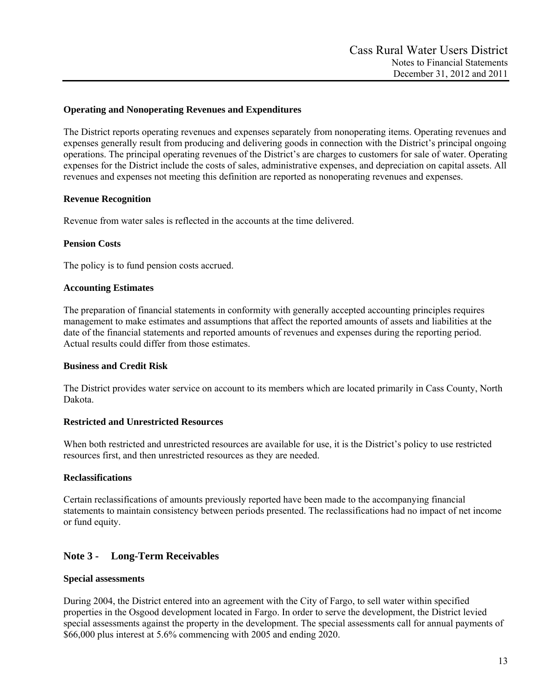## **Operating and Nonoperating Revenues and Expenditures**

The District reports operating revenues and expenses separately from nonoperating items. Operating revenues and expenses generally result from producing and delivering goods in connection with the District's principal ongoing operations. The principal operating revenues of the District's are charges to customers for sale of water. Operating expenses for the District include the costs of sales, administrative expenses, and depreciation on capital assets. All revenues and expenses not meeting this definition are reported as nonoperating revenues and expenses.

## **Revenue Recognition**

Revenue from water sales is reflected in the accounts at the time delivered.

#### **Pension Costs**

The policy is to fund pension costs accrued.

#### **Accounting Estimates**

The preparation of financial statements in conformity with generally accepted accounting principles requires management to make estimates and assumptions that affect the reported amounts of assets and liabilities at the date of the financial statements and reported amounts of revenues and expenses during the reporting period. Actual results could differ from those estimates.

#### **Business and Credit Risk**

The District provides water service on account to its members which are located primarily in Cass County, North Dakota.

## **Restricted and Unrestricted Resources**

When both restricted and unrestricted resources are available for use, it is the District's policy to use restricted resources first, and then unrestricted resources as they are needed.

## **Reclassifications**

Certain reclassifications of amounts previously reported have been made to the accompanying financial statements to maintain consistency between periods presented. The reclassifications had no impact of net income or fund equity.

# **Note 3 - Long-Term Receivables**

## **Special assessments**

During 2004, the District entered into an agreement with the City of Fargo, to sell water within specified properties in the Osgood development located in Fargo. In order to serve the development, the District levied special assessments against the property in the development. The special assessments call for annual payments of \$66,000 plus interest at 5.6% commencing with 2005 and ending 2020.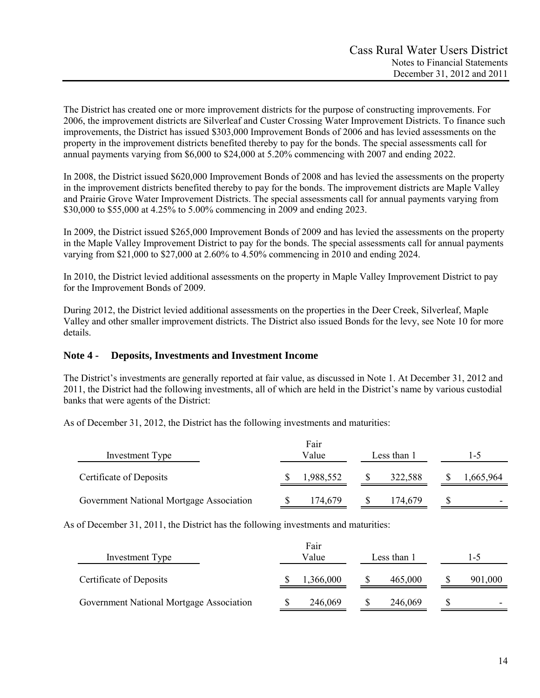The District has created one or more improvement districts for the purpose of constructing improvements. For 2006, the improvement districts are Silverleaf and Custer Crossing Water Improvement Districts. To finance such improvements, the District has issued \$303,000 Improvement Bonds of 2006 and has levied assessments on the property in the improvement districts benefited thereby to pay for the bonds. The special assessments call for annual payments varying from \$6,000 to \$24,000 at 5.20% commencing with 2007 and ending 2022.

In 2008, the District issued \$620,000 Improvement Bonds of 2008 and has levied the assessments on the property in the improvement districts benefited thereby to pay for the bonds. The improvement districts are Maple Valley and Prairie Grove Water Improvement Districts. The special assessments call for annual payments varying from \$30,000 to \$55,000 at 4.25% to 5.00% commencing in 2009 and ending 2023.

In 2009, the District issued \$265,000 Improvement Bonds of 2009 and has levied the assessments on the property in the Maple Valley Improvement District to pay for the bonds. The special assessments call for annual payments varying from \$21,000 to \$27,000 at 2.60% to 4.50% commencing in 2010 and ending 2024.

In 2010, the District levied additional assessments on the property in Maple Valley Improvement District to pay for the Improvement Bonds of 2009.

During 2012, the District levied additional assessments on the properties in the Deer Creek, Silverleaf, Maple Valley and other smaller improvement districts. The District also issued Bonds for the levy, see Note 10 for more details.

# **Note 4 - Deposits, Investments and Investment Income**

The District's investments are generally reported at fair value, as discussed in Note 1. At December 31, 2012 and 2011, the District had the following investments, all of which are held in the District's name by various custodial banks that were agents of the District:

As of December 31, 2012, the District has the following investments and maturities:

| Investment Type                          |  |           | Fair<br>Value<br>Less than 1 |         | 1-5       |
|------------------------------------------|--|-----------|------------------------------|---------|-----------|
| Certificate of Deposits                  |  | 1,988,552 |                              | 322,588 | 1,665,964 |
| Government National Mortgage Association |  | 174,679   |                              | 174,679 | -         |

As of December 31, 2011, the District has the following investments and maturities:

| Investment Type                          | Fair<br>Value | Less than 1 | l -5    |  |
|------------------------------------------|---------------|-------------|---------|--|
| Certificate of Deposits                  | 1,366,000     | 465,000     | 901,000 |  |
| Government National Mortgage Association | 246,069       | 246,069     |         |  |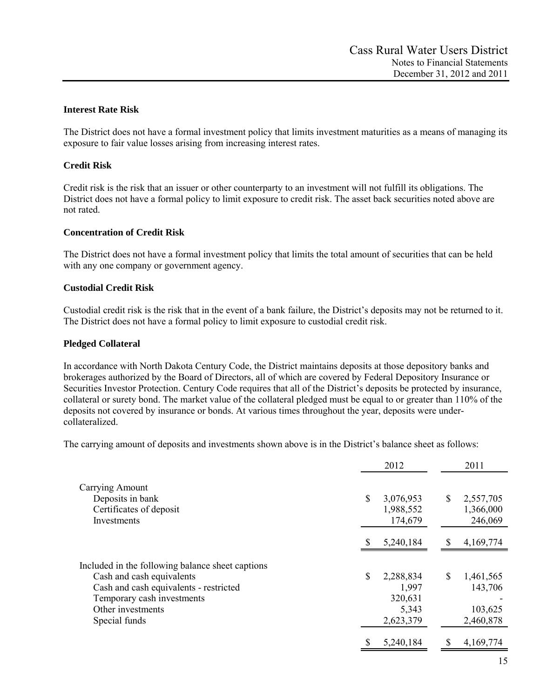## **Interest Rate Risk**

The District does not have a formal investment policy that limits investment maturities as a means of managing its exposure to fair value losses arising from increasing interest rates.

# **Credit Risk**

Credit risk is the risk that an issuer or other counterparty to an investment will not fulfill its obligations. The District does not have a formal policy to limit exposure to credit risk. The asset back securities noted above are not rated.

## **Concentration of Credit Risk**

The District does not have a formal investment policy that limits the total amount of securities that can be held with any one company or government agency.

#### **Custodial Credit Risk**

Custodial credit risk is the risk that in the event of a bank failure, the District's deposits may not be returned to it. The District does not have a formal policy to limit exposure to custodial credit risk.

#### **Pledged Collateral**

In accordance with North Dakota Century Code, the District maintains deposits at those depository banks and brokerages authorized by the Board of Directors, all of which are covered by Federal Depository Insurance or Securities Investor Protection. Century Code requires that all of the District's deposits be protected by insurance, collateral or surety bond. The market value of the collateral pledged must be equal to or greater than 110% of the deposits not covered by insurance or bonds. At various times throughout the year, deposits were undercollateralized.

The carrying amount of deposits and investments shown above is in the District's balance sheet as follows:

|                                                                                                   |    | 2012                          | 2011                       |
|---------------------------------------------------------------------------------------------------|----|-------------------------------|----------------------------|
| Carrying Amount<br>Deposits in bank                                                               | \$ | 3,076,953                     | \$<br>2,557,705            |
| Certificates of deposit<br>Investments                                                            |    | 1,988,552<br>174,679          | 1,366,000<br>246,069       |
|                                                                                                   | S  | 5,240,184                     | \$<br>4,169,774            |
| Included in the following balance sheet captions                                                  |    |                               |                            |
| Cash and cash equivalents<br>Cash and cash equivalents - restricted<br>Temporary cash investments | \$ | 2,288,834<br>1,997<br>320,631 | \$<br>1,461,565<br>143,706 |
| Other investments<br>Special funds                                                                |    | 5,343<br>2,623,379            | 103,625<br>2,460,878       |
|                                                                                                   |    | 5,240,184                     | 4,169,774                  |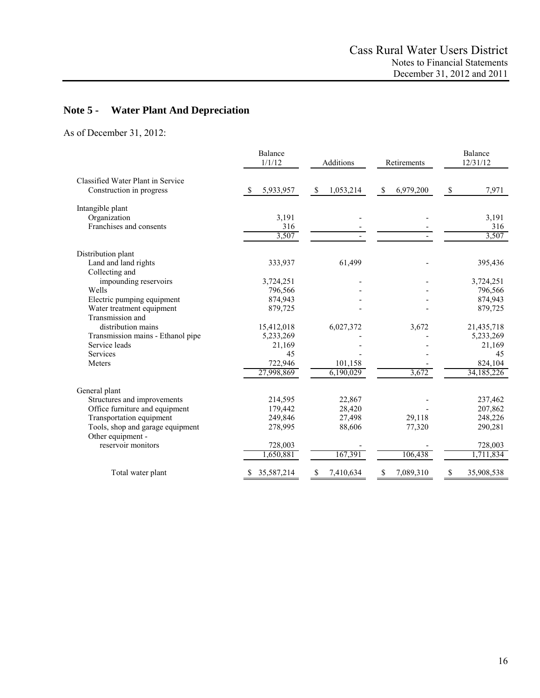# **Note 5 - Water Plant And Depreciation**

As of December 31, 2012:

|                                               | Balance<br>1/1/12 | Additions       | Retirements     | Balance<br>12/31/12  |  |
|-----------------------------------------------|-------------------|-----------------|-----------------|----------------------|--|
| Classified Water Plant in Service             |                   |                 |                 |                      |  |
| Construction in progress                      | 5,933,957<br>-S   | \$<br>1,053,214 | 6,979,200<br>-S | $\mathbb S$<br>7,971 |  |
| Intangible plant                              |                   |                 |                 |                      |  |
| Organization                                  | 3,191             |                 |                 | 3,191                |  |
| Franchises and consents                       | 316               |                 |                 | 316                  |  |
|                                               | 3,507             |                 |                 | 3,507                |  |
| Distribution plant                            |                   |                 |                 |                      |  |
| Land and land rights<br>Collecting and        | 333,937           | 61,499          |                 | 395,436              |  |
| impounding reservoirs                         | 3,724,251         |                 |                 | 3,724,251            |  |
| Wells                                         | 796,566           |                 |                 | 796,566              |  |
| Electric pumping equipment                    | 874,943           |                 |                 | 874,943              |  |
| Water treatment equipment<br>Transmission and | 879,725           |                 |                 | 879,725              |  |
| distribution mains                            | 15,412,018        | 6,027,372       | 3,672           | 21,435,718           |  |
| Transmission mains - Ethanol pipe             | 5,233,269         |                 |                 | 5,233,269            |  |
| Service leads                                 | 21,169            |                 |                 | 21,169               |  |
| Services                                      | 45                |                 |                 | 45                   |  |
| Meters                                        | 722,946           | 101,158         |                 | 824,104              |  |
|                                               | 27,998,869        | 6,190,029       | 3,672           | 34,185,226           |  |
| General plant                                 |                   |                 |                 |                      |  |
| Structures and improvements                   | 214,595           | 22,867          |                 | 237,462              |  |
| Office furniture and equipment                | 179,442           | 28,420          |                 | 207,862              |  |
| Transportation equipment                      | 249,846           | 27,498          | 29,118          | 248,226              |  |
| Tools, shop and garage equipment              | 278,995           | 88,606          | 77,320          | 290,281              |  |
| Other equipment -                             |                   |                 |                 |                      |  |
| reservoir monitors                            | 728,003           |                 |                 | 728,003              |  |
|                                               | 1,650,881         | 167,391         | 106,438         | 1,711,834            |  |
| Total water plant                             | 35,587,214        | 7,410,634<br>S  | 7,089,310       | 35,908,538           |  |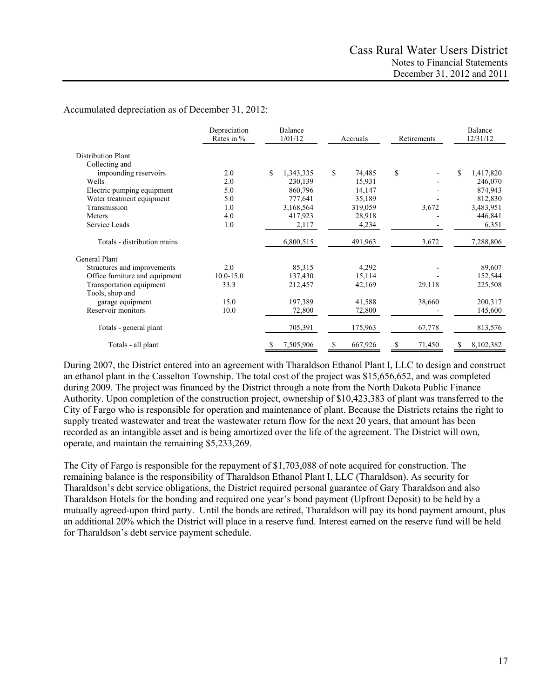# Accumulated depreciation as of December 31, 2012:

|                                | Depreciation<br>Rates in % | Balance<br>1/01/12 | Accruals               | Retirements  | Balance<br>12/31/12 |  |
|--------------------------------|----------------------------|--------------------|------------------------|--------------|---------------------|--|
| <b>Distribution Plant</b>      |                            |                    |                        |              |                     |  |
| Collecting and                 |                            |                    |                        |              |                     |  |
| impounding reservoirs          | 2.0                        | \$<br>1,343,335    | $\mathbb{S}$<br>74,485 | \$           | \$<br>1,417,820     |  |
| Wells                          | 2.0                        | 230,139            | 15,931                 |              | 246,070             |  |
| Electric pumping equipment     | 5.0                        | 860,796            | 14,147                 |              | 874,943             |  |
| Water treatment equipment      | 5.0                        | 777,641            | 35,189                 |              | 812,830             |  |
| Transmission                   | 1.0                        | 3,168,564          | 319,059                | 3,672        | 3,483,951           |  |
| Meters                         | 4.0                        | 417,923            | 28,918                 |              | 446,841             |  |
| Service Leads                  | 1.0                        | 2,117              | 4,234                  |              | 6,351               |  |
| Totals - distribution mains    |                            | 6,800,515          | 491,963                | 3,672        | 7,288,806           |  |
| <b>General Plant</b>           |                            |                    |                        |              |                     |  |
| Structures and improvements    | 2.0                        | 85,315             | 4,292                  |              | 89,607              |  |
| Office furniture and equipment | $10.0 - 15.0$              | 137,430            | 15,114                 |              | 152,544             |  |
| Transportation equipment       | 33.3                       | 212,457            | 42,169                 | 29,118       | 225,508             |  |
| Tools, shop and                |                            |                    |                        |              |                     |  |
| garage equipment               | 15.0                       | 197,389            | 41,588                 | 38,660       | 200,317             |  |
| Reservoir monitors             | 10.0                       | 72,800             | 72,800                 |              | 145,600             |  |
| Totals - general plant         |                            | 705,391            | 175,963                | 67,778       | 813,576             |  |
| Totals - all plant             |                            | 7,505,906<br>\$    | 667,926                | 71,450<br>\$ | 8,102,382           |  |

During 2007, the District entered into an agreement with Tharaldson Ethanol Plant I, LLC to design and construct an ethanol plant in the Casselton Township. The total cost of the project was \$15,656,652, and was completed during 2009. The project was financed by the District through a note from the North Dakota Public Finance Authority. Upon completion of the construction project, ownership of \$10,423,383 of plant was transferred to the City of Fargo who is responsible for operation and maintenance of plant. Because the Districts retains the right to supply treated wastewater and treat the wastewater return flow for the next 20 years, that amount has been recorded as an intangible asset and is being amortized over the life of the agreement. The District will own, operate, and maintain the remaining \$5,233,269.

The City of Fargo is responsible for the repayment of \$1,703,088 of note acquired for construction. The remaining balance is the responsibility of Tharaldson Ethanol Plant I, LLC (Tharaldson). As security for Tharaldson's debt service obligations, the District required personal guarantee of Gary Tharaldson and also Tharaldson Hotels for the bonding and required one year's bond payment (Upfront Deposit) to be held by a mutually agreed-upon third party. Until the bonds are retired, Tharaldson will pay its bond payment amount, plus an additional 20% which the District will place in a reserve fund. Interest earned on the reserve fund will be held for Tharaldson's debt service payment schedule.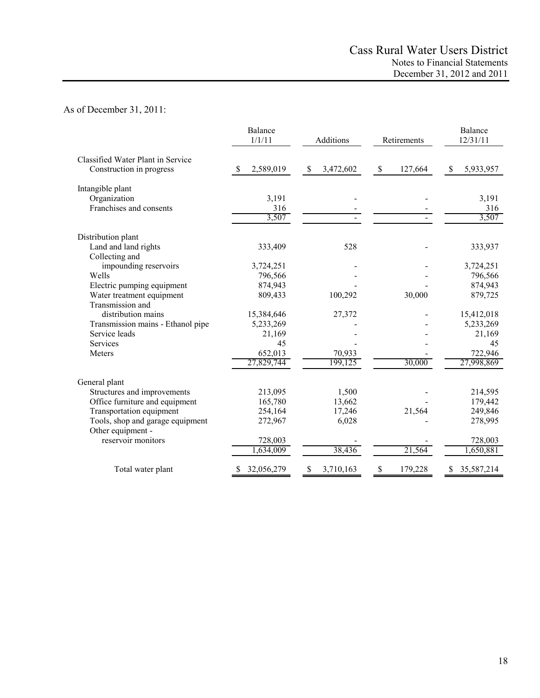# As of December 31, 2011:

|                                   | Balance<br>1/1/11 | Additions                 | Retirements             | Balance<br>12/31/11 |  |
|-----------------------------------|-------------------|---------------------------|-------------------------|---------------------|--|
| Classified Water Plant in Service |                   |                           |                         |                     |  |
| Construction in progress          | 2,589,019<br>\$.  | 3,472,602<br>$\mathbb{S}$ | $\mathbb{S}$<br>127,664 | \$<br>5,933,957     |  |
| Intangible plant                  |                   |                           |                         |                     |  |
| Organization                      | 3,191             |                           |                         | 3,191               |  |
| Franchises and consents           | 316               |                           |                         | 316                 |  |
|                                   | 3,507             |                           |                         | 3,507               |  |
| Distribution plant                |                   |                           |                         |                     |  |
| Land and land rights              | 333,409           | 528                       |                         | 333,937             |  |
| Collecting and                    |                   |                           |                         |                     |  |
| impounding reservoirs             | 3,724,251         |                           |                         | 3,724,251           |  |
| Wells                             | 796,566           |                           |                         | 796,566             |  |
| Electric pumping equipment        | 874,943           |                           |                         | 874,943             |  |
| Water treatment equipment         | 809,433           | 100,292                   | 30,000                  | 879,725             |  |
| Transmission and                  |                   |                           |                         |                     |  |
| distribution mains                | 15,384,646        | 27,372                    |                         | 15,412,018          |  |
| Transmission mains - Ethanol pipe | 5,233,269         |                           |                         | 5,233,269           |  |
| Service leads                     | 21,169            |                           |                         | 21,169              |  |
| <b>Services</b>                   | 45                |                           |                         | 45                  |  |
| Meters                            | 652,013           | 70,933                    |                         | 722,946             |  |
|                                   | 27,829,744        | 199,125                   | 30,000                  | 27,998,869          |  |
| General plant                     |                   |                           |                         |                     |  |
| Structures and improvements       | 213,095           | 1,500                     |                         | 214,595             |  |
| Office furniture and equipment    | 165,780           | 13,662                    |                         | 179,442             |  |
| Transportation equipment          | 254,164           | 17,246                    | 21,564                  | 249,846             |  |
| Tools, shop and garage equipment  | 272,967           | 6,028                     |                         | 278,995             |  |
| Other equipment -                 |                   |                           |                         |                     |  |
| reservoir monitors                | 728,003           |                           |                         | 728,003             |  |
|                                   | ,634,009          | 38,436                    | 21,564                  | 1,650,881           |  |
| Total water plant                 | 32,056,279<br>S   | 3,710,163<br>S            | \$<br>179,228           | 35,587,214<br>S     |  |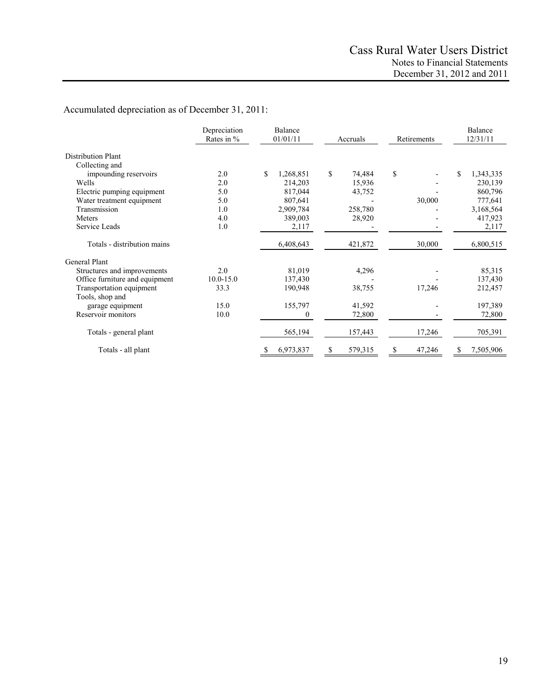# Accumulated depreciation as of December 31, 2011:

|                                | Depreciation<br>Rates in % | Balance<br>01/01/11 | Accruals     | Retirements | Balance<br>12/31/11 |
|--------------------------------|----------------------------|---------------------|--------------|-------------|---------------------|
| <b>Distribution Plant</b>      |                            |                     |              |             |                     |
| Collecting and                 |                            |                     |              |             |                     |
| impounding reservoirs          | 2.0                        | \$<br>1,268,851     | \$<br>74,484 | \$          | \$<br>1,343,335     |
| Wells                          | 2.0                        | 214,203             | 15,936       |             | 230,139             |
| Electric pumping equipment     | 5.0                        | 817,044             | 43,752       |             | 860,796             |
| Water treatment equipment      | 5.0                        | 807,641             |              | 30,000      | 777,641             |
| Transmission                   | 1.0                        | 2,909,784           | 258,780      |             | 3,168,564           |
| Meters                         | 4.0                        | 389,003             | 28,920       |             | 417,923             |
| Service Leads                  | 1.0                        | 2,117               |              |             | 2,117               |
| Totals - distribution mains    |                            | 6,408,643           | 421,872      | 30,000      | 6,800,515           |
| General Plant                  |                            |                     |              |             |                     |
| Structures and improvements    | 2.0                        | 81,019              | 4,296        |             | 85,315              |
| Office furniture and equipment | $10.0 - 15.0$              | 137,430             |              |             | 137,430             |
| Transportation equipment       | 33.3                       | 190,948             | 38,755       | 17,246      | 212,457             |
| Tools, shop and                |                            |                     |              |             |                     |
| garage equipment               | 15.0                       | 155,797             | 41,592       |             | 197,389             |
| Reservoir monitors             | 10.0                       | $^{(1)}$            | 72,800       |             | 72,800              |
| Totals - general plant         |                            | 565,194             | 157,443      | 17,246      | 705,391             |
| Totals - all plant             |                            | 6,973,837           | 579,315      | 47,246<br>S | 7,505,906           |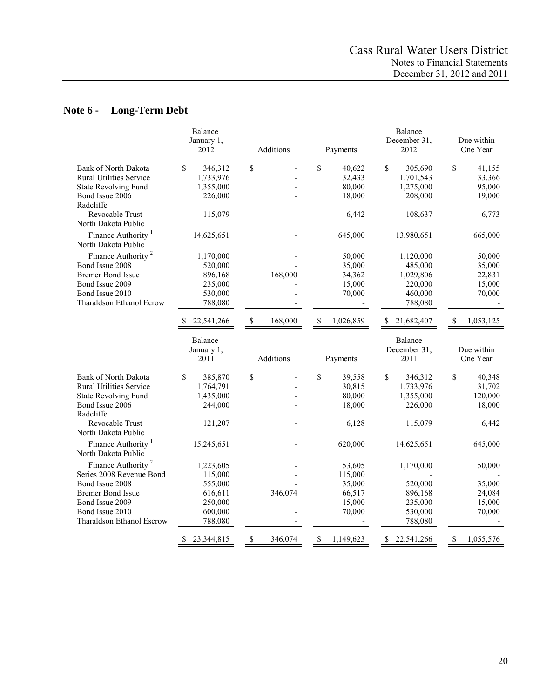# **Note 6 - Long-Term Debt**

|                                                                                                                                                        | Balance<br>January 1,<br>2012                                            | Additions              | Payments                                            | Balance<br>December 31,<br>2012                                         | Due within<br>One Year                               |
|--------------------------------------------------------------------------------------------------------------------------------------------------------|--------------------------------------------------------------------------|------------------------|-----------------------------------------------------|-------------------------------------------------------------------------|------------------------------------------------------|
| Bank of North Dakota<br><b>Rural Utilities Service</b><br><b>State Revolving Fund</b><br>Bond Issue 2006<br>Radcliffe                                  | \$<br>346,312<br>1,733,976<br>1,355,000<br>226,000                       | \$                     | \$<br>40,622<br>32,433<br>80,000<br>18,000          | $\mathbb{S}$<br>305,690<br>1,701,543<br>1,275,000<br>208,000            | \$<br>41,155<br>33,366<br>95,000<br>19,000           |
| Revocable Trust<br>North Dakota Public                                                                                                                 | 115,079                                                                  |                        | 6,442                                               | 108,637                                                                 | 6,773                                                |
| Finance Authority <sup>1</sup><br>North Dakota Public                                                                                                  | 14,625,651                                                               |                        | 645,000                                             | 13,980,651                                                              | 665,000                                              |
| Finance Authority <sup>2</sup><br>Bond Issue 2008<br><b>Bremer Bond Issue</b><br>Bond Issue 2009<br>Bond Issue 2010<br><b>Tharaldson Ethanol Ecrow</b> | 1,170,000<br>520,000<br>896,168<br>235,000<br>530,000<br>788,080         | 168,000                | 50,000<br>35,000<br>34,362<br>15,000<br>70,000      | 1,120,000<br>485,000<br>1,029,806<br>220,000<br>460,000<br>788,080      | 50,000<br>35,000<br>22,831<br>15,000<br>70,000       |
|                                                                                                                                                        | 22,541,266<br><b>S</b>                                                   | $\mathbb S$<br>168,000 | \$<br>1,026,859                                     | 21,682,407<br>\$                                                        | \$<br>1,053,125                                      |
|                                                                                                                                                        | Balance<br>January 1,<br>2011                                            | Additions              | Payments                                            | Balance<br>December 31,<br>2011                                         | Due within<br>One Year                               |
| <b>Bank of North Dakota</b><br><b>Rural Utilities Service</b><br><b>State Revolving Fund</b><br>Bond Issue 2006<br>Radcliffe<br>Revocable Trust        | $\mathcal{S}$<br>385,870<br>1,764,791<br>1,435,000<br>244,000<br>121,207 | \$                     | \$<br>39,558<br>30,815<br>80,000<br>18,000<br>6,128 | $\mathbb{S}$<br>346,312<br>1,733,976<br>1,355,000<br>226,000<br>115,079 | \$<br>40,348<br>31,702<br>120,000<br>18,000<br>6,442 |
| North Dakota Public<br>Finance Authority <sup>1</sup><br>North Dakota Public                                                                           | 15,245,651                                                               |                        | 620,000                                             | 14,625,651                                                              | 645,000                                              |
| Finance Authority <sup>2</sup><br>Series 2008 Revenue Bond                                                                                             | 1,223,605<br>115,000                                                     |                        | 53,605<br>115,000                                   | 1,170,000                                                               | 50,000                                               |
| Bond Issue 2008<br><b>Bremer Bond Issue</b><br>Bond Issue 2009<br>Bond Issue 2010<br>Tharaldson Ethanol Escrow                                         | 555,000<br>616,611<br>250,000<br>600,000<br>788,080                      | 346,074                | 35,000<br>66,517<br>15,000<br>70,000                | 520,000<br>896,168<br>235,000<br>530,000<br>788,080                     | 35,000<br>24,084<br>15,000<br>70,000                 |
|                                                                                                                                                        | \$<br>23,344,815                                                         | \$<br>346,074          | \$<br>1,149,623                                     | 22,541,266<br>\$                                                        | \$<br>1,055,576                                      |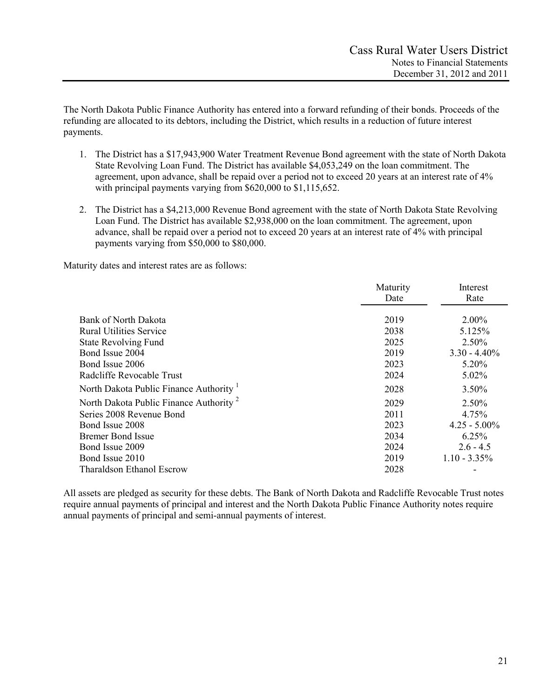The North Dakota Public Finance Authority has entered into a forward refunding of their bonds. Proceeds of the refunding are allocated to its debtors, including the District, which results in a reduction of future interest payments.

- 1. The District has a \$17,943,900 Water Treatment Revenue Bond agreement with the state of North Dakota State Revolving Loan Fund. The District has available \$4,053,249 on the loan commitment. The agreement, upon advance, shall be repaid over a period not to exceed 20 years at an interest rate of 4% with principal payments varying from \$620,000 to \$1,115,652.
- 2. The District has a \$4,213,000 Revenue Bond agreement with the state of North Dakota State Revolving Loan Fund. The District has available \$2,938,000 on the loan commitment. The agreement, upon advance, shall be repaid over a period not to exceed 20 years at an interest rate of 4% with principal payments varying from \$50,000 to \$80,000.

Maturity dates and interest rates are as follows:

|                                                    | Maturity | Interest        |
|----------------------------------------------------|----------|-----------------|
|                                                    | Date     | Rate            |
|                                                    |          |                 |
| Bank of North Dakota                               | 2019     | $2.00\%$        |
| <b>Rural Utilities Service</b>                     | 2038     | 5.125%          |
| <b>State Revolving Fund</b>                        | 2025     | 2.50%           |
| Bond Issue 2004                                    | 2019     | $3.30 - 4.40\%$ |
| Bond Issue 2006                                    | 2023     | 5.20%           |
| Radcliffe Revocable Trust                          | 2024     | 5.02%           |
| North Dakota Public Finance Authority              | 2028     | 3.50%           |
| North Dakota Public Finance Authority <sup>2</sup> | 2029     | 2.50%           |
| Series 2008 Revenue Bond                           | 2011     | 4.75%           |
| Bond Issue 2008                                    | 2023     | $4.25 - 5.00\%$ |
| <b>Bremer Bond Issue</b>                           | 2034     | 6.25%           |
| Bond Issue 2009                                    | 2024     | $2.6 - 4.5$     |
| Bond Issue 2010                                    | 2019     | $1.10 - 3.35\%$ |
| Tharaldson Ethanol Escrow                          | 2028     |                 |

All assets are pledged as security for these debts. The Bank of North Dakota and Radcliffe Revocable Trust notes require annual payments of principal and interest and the North Dakota Public Finance Authority notes require annual payments of principal and semi-annual payments of interest.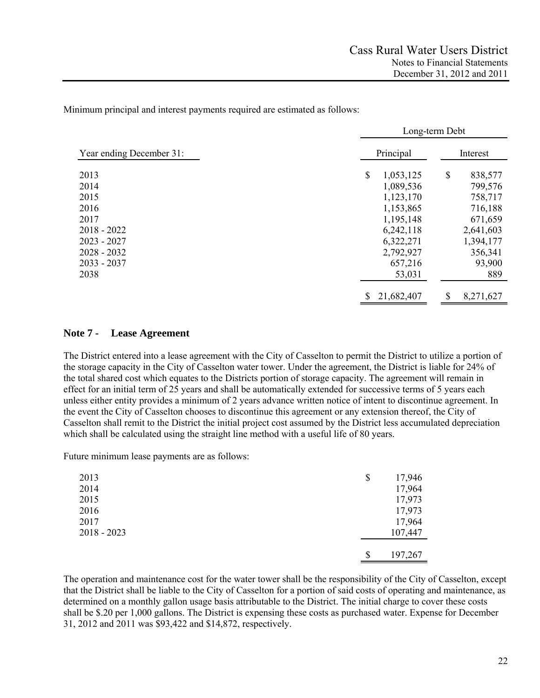Minimum principal and interest payments required are estimated as follows:

|                          | Long-term Debt   |                 |  |  |  |  |  |
|--------------------------|------------------|-----------------|--|--|--|--|--|
| Year ending December 31: | Principal        | Interest        |  |  |  |  |  |
| 2013                     | \$<br>1,053,125  | \$<br>838,577   |  |  |  |  |  |
| 2014                     | 1,089,536        | 799,576         |  |  |  |  |  |
| 2015                     | 1,123,170        | 758,717         |  |  |  |  |  |
| 2016                     | 1,153,865        | 716,188         |  |  |  |  |  |
| 2017                     | 1,195,148        | 671,659         |  |  |  |  |  |
| $2018 - 2022$            | 6,242,118        | 2,641,603       |  |  |  |  |  |
| $2023 - 2027$            | 6,322,271        | 1,394,177       |  |  |  |  |  |
| $2028 - 2032$            | 2,792,927        | 356,341         |  |  |  |  |  |
| $2033 - 2037$            | 657,216          | 93,900          |  |  |  |  |  |
| 2038                     | 53,031           | 889             |  |  |  |  |  |
|                          | \$<br>21,682,407 | \$<br>8,271,627 |  |  |  |  |  |

#### **Note 7 - Lease Agreement**

The District entered into a lease agreement with the City of Casselton to permit the District to utilize a portion of the storage capacity in the City of Casselton water tower. Under the agreement, the District is liable for 24% of the total shared cost which equates to the Districts portion of storage capacity. The agreement will remain in effect for an initial term of 25 years and shall be automatically extended for successive terms of 5 years each unless either entity provides a minimum of 2 years advance written notice of intent to discontinue agreement. In the event the City of Casselton chooses to discontinue this agreement or any extension thereof, the City of Casselton shall remit to the District the initial project cost assumed by the District less accumulated depreciation which shall be calculated using the straight line method with a useful life of 80 years.

Future minimum lease payments are as follows:

| \$<br>17,946 |
|--------------|
| 17,964       |
| 17,973       |
| 17,973       |
| 17,964       |
| 107,447      |
| 197,267      |
| \$           |

The operation and maintenance cost for the water tower shall be the responsibility of the City of Casselton, except that the District shall be liable to the City of Casselton for a portion of said costs of operating and maintenance, as determined on a monthly gallon usage basis attributable to the District. The initial charge to cover these costs shall be \$.20 per 1,000 gallons. The District is expensing these costs as purchased water. Expense for December 31, 2012 and 2011 was \$93,422 and \$14,872, respectively.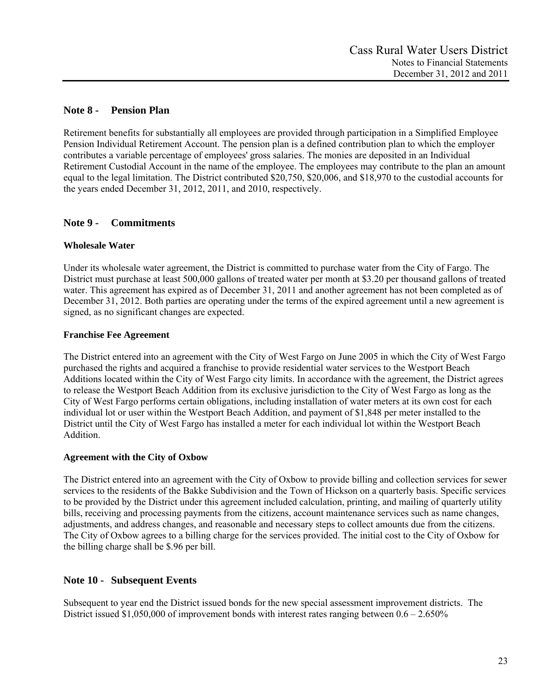# **Note 8 - Pension Plan**

Retirement benefits for substantially all employees are provided through participation in a Simplified Employee Pension Individual Retirement Account. The pension plan is a defined contribution plan to which the employer contributes a variable percentage of employees' gross salaries. The monies are deposited in an Individual Retirement Custodial Account in the name of the employee. The employees may contribute to the plan an amount equal to the legal limitation. The District contributed \$20,750, \$20,006, and \$18,970 to the custodial accounts for the years ended December 31, 2012, 2011, and 2010, respectively.

# **Note 9 - Commitments**

# **Wholesale Water**

Under its wholesale water agreement, the District is committed to purchase water from the City of Fargo. The District must purchase at least 500,000 gallons of treated water per month at \$3.20 per thousand gallons of treated water. This agreement has expired as of December 31, 2011 and another agreement has not been completed as of December 31, 2012. Both parties are operating under the terms of the expired agreement until a new agreement is signed, as no significant changes are expected.

# **Franchise Fee Agreement**

The District entered into an agreement with the City of West Fargo on June 2005 in which the City of West Fargo purchased the rights and acquired a franchise to provide residential water services to the Westport Beach Additions located within the City of West Fargo city limits. In accordance with the agreement, the District agrees to release the Westport Beach Addition from its exclusive jurisdiction to the City of West Fargo as long as the City of West Fargo performs certain obligations, including installation of water meters at its own cost for each individual lot or user within the Westport Beach Addition, and payment of \$1,848 per meter installed to the District until the City of West Fargo has installed a meter for each individual lot within the Westport Beach Addition.

# **Agreement with the City of Oxbow**

The District entered into an agreement with the City of Oxbow to provide billing and collection services for sewer services to the residents of the Bakke Subdivision and the Town of Hickson on a quarterly basis. Specific services to be provided by the District under this agreement included calculation, printing, and mailing of quarterly utility bills, receiving and processing payments from the citizens, account maintenance services such as name changes, adjustments, and address changes, and reasonable and necessary steps to collect amounts due from the citizens. The City of Oxbow agrees to a billing charge for the services provided. The initial cost to the City of Oxbow for the billing charge shall be \$.96 per bill.

# **Note 10 - Subsequent Events**

Subsequent to year end the District issued bonds for the new special assessment improvement districts. The District issued \$1,050,000 of improvement bonds with interest rates ranging between  $0.6 - 2.650\%$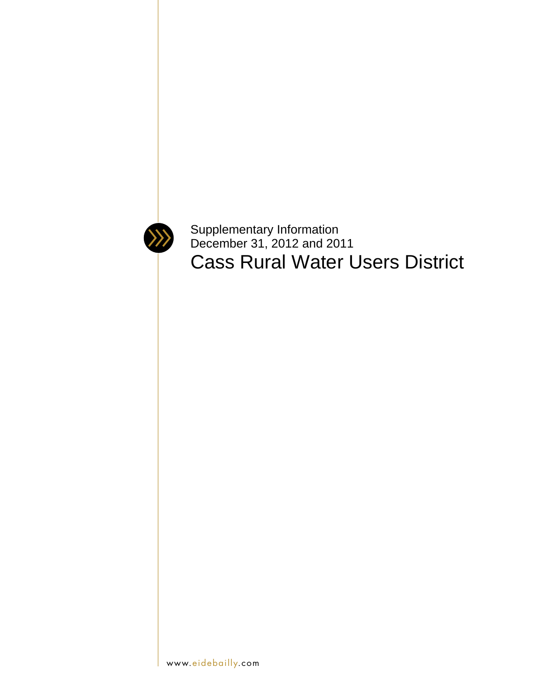

Supplementary Information December 31, 2012 and 2011 Cass Rural Water Users District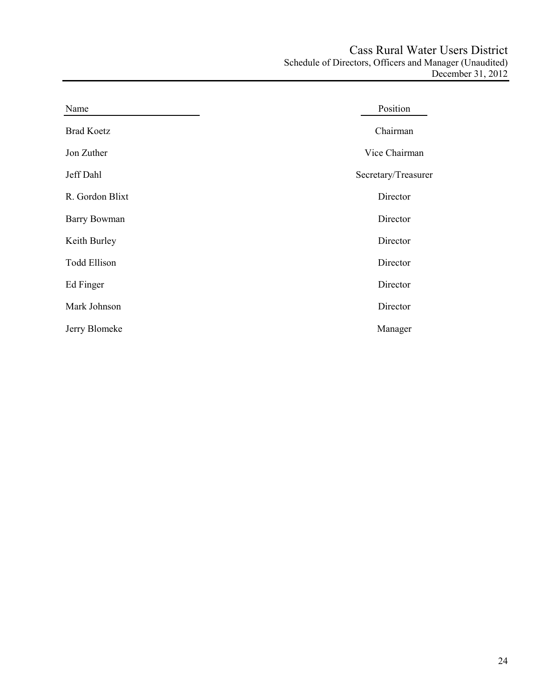| Name                | Position            |
|---------------------|---------------------|
| <b>Brad Koetz</b>   | Chairman            |
| Jon Zuther          | Vice Chairman       |
| Jeff Dahl           | Secretary/Treasurer |
| R. Gordon Blixt     | Director            |
| <b>Barry Bowman</b> | Director            |
| Keith Burley        | Director            |
| <b>Todd Ellison</b> | Director            |
| Ed Finger           | Director            |
| Mark Johnson        | Director            |
| Jerry Blomeke       | Manager             |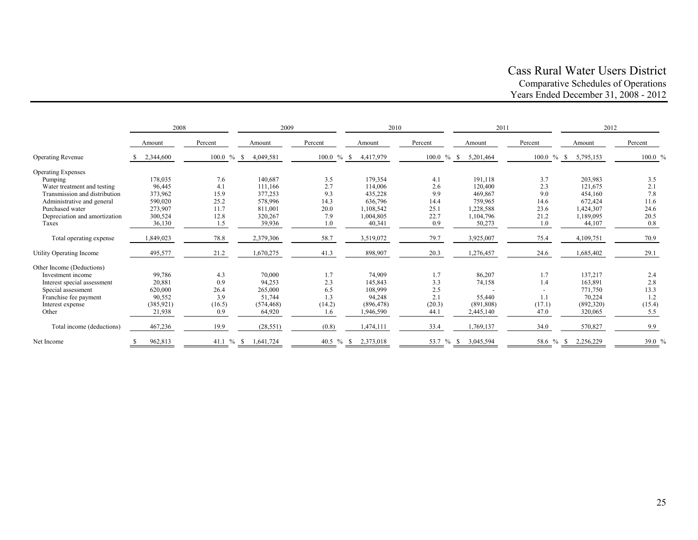# Cass Rural Water Users District Comparative Schedules of Operations Years Ended December 31, 2008 - 2012

|                               | 2008       |                | 2009       |                  | 2010       |               | 2011       |               | 2012      |         |
|-------------------------------|------------|----------------|------------|------------------|------------|---------------|------------|---------------|-----------|---------|
|                               | Amount     | Percent        | Amount     | Percent          | Amount     | Percent       | Amount     | Percent       | Amount    | Percent |
| <b>Operating Revenue</b>      | 2,344,600  | $100.0 \%$ \$  | 4,049,581  | $100.0 \%$ \$    | 4,417,979  | $100.0 \%$ \$ | 5,201,464  | $100.0 \%$ \$ | 5,795,153 | 100.0 % |
| <b>Operating Expenses</b>     |            |                |            |                  |            |               |            |               |           |         |
| Pumping                       | 178,035    | 7.6            | 140,687    | 3.5              | 179,354    | 4.1           | 191,118    | 3.7           | 203,983   | 3.5     |
| Water treatment and testing   | 96,445     | 4.1            | 111,166    | 2.7              | 114,006    | 2.6           | 120,400    | 2.3           | 121,675   | 2.1     |
| Transmission and distribution | 373,962    | 15.9           | 377,253    | 9.3              | 435,228    | 9.9           | 469,867    | 9.0           | 454,160   | 7.8     |
| Administrative and general    | 590,020    | 25.2           | 578,996    | 14.3             | 636,796    | 14.4          | 759,965    | 14.6          | 672,424   | 11.6    |
| Purchased water               | 273,907    | 11.7           | 811,001    | 20.0             | 1,108,542  | 25.1          | 1,228,588  | 23.6          | 1,424,307 | 24.6    |
| Depreciation and amortization | 300,524    | 12.8           | 320,267    | 7.9              | 1,004,805  | 22.7          | 1,104,796  | 21.2          | 1,189,095 | 20.5    |
| Taxes                         | 36,130     | 1.5            | 39,936     | 1.0              | 40,341     | 0.9           | 50,273     | 1.0           | 44,107    | 0.8     |
| Total operating expense       | 1,849,023  | 78.8           | 2,379,306  | 58.7             | 3,519,072  | 79.7          | 3,925,007  | 75.4          | 4,109,751 | 70.9    |
| Utility Operating Income      | 495,577    | 21.2           | 1,670,275  | 41.3             | 898,907    | 20.3          | 1,276,457  | 24.6          | 1,685,402 | 29.1    |
| Other Income (Deductions)     |            |                |            |                  |            |               |            |               |           |         |
| Investment income             | 99,786     | 4.3            | 70,000     | 1.7              | 74.909     | 1.7           | 86,207     | 1.7           | 137,217   | 2.4     |
| Interest special assessment   | 20,881     | 0.9            | 94,253     | 2.3              | 145,843    | 3.3           | 74,158     | 1.4           | 163,891   | 2.8     |
| Special assessment            | 620,000    | 26.4           | 265,000    | 6.5              | 108,999    | 2.5           |            |               | 771,750   | 13.3    |
| Franchise fee payment         | 90,552     | 3.9            | 51,744     | 1.3              | 94,248     | 2.1           | 55,440     | 1.1           | 70,224    | 1.2     |
| Interest expense              | (385, 921) | (16.5)         | (574, 468) | (14.2)           | (896, 478) | (20.3)        | (891, 808) | (17.1)        | (892,320) | (15.4)  |
| Other                         | 21,938     | 0.9            | 64,920     | 1.6              | 1,946,590  | 44.1          | 2,445,140  | 47.0          | 320,065   | 5.5     |
| Total income (deductions)     | 467,236    | 19.9           | (28, 551)  | (0.8)            | 1,474,111  | 33.4          | 1,769,137  | 34.0          | 570,827   | 9.9     |
| Net Income                    | 962,813    | 41.1 $%$<br>-S | 1,641,724  | 40.5 $%$<br>- \$ | 2,373,018  | 53.7 %<br>-S  | 3,045,594  | 58.6 % \$     | 2,256,229 | 39.0 %  |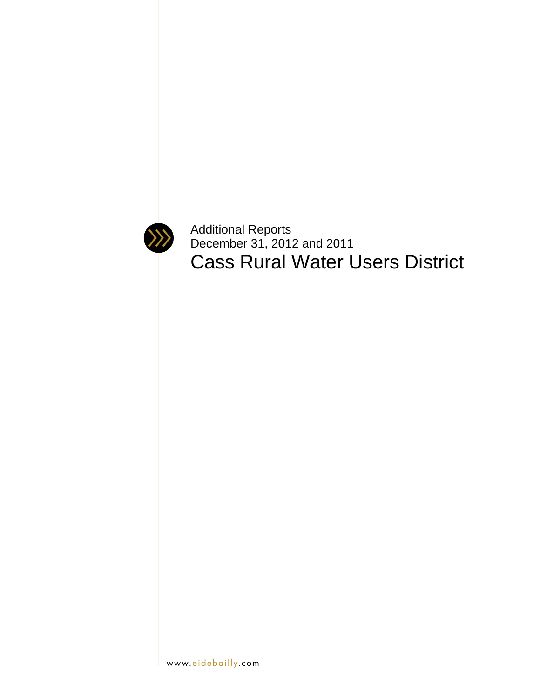

Additional Reports December 31, 2012 and 2011 Cass Rural Water Users District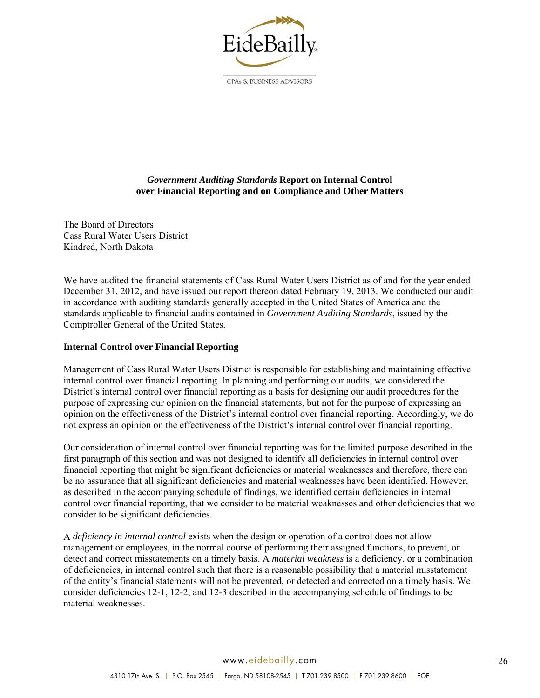

CPAs & BUSINESS ADVISORS

# *Government Auditing Standards* **Report on Internal Control over Financial Reporting and on Compliance and Other Matters**

The Board of Directors Cass Rural Water Users District Kindred, North Dakota

We have audited the financial statements of Cass Rural Water Users District as of and for the year ended December 31, 2012, and have issued our report thereon dated February 19, 2013. We conducted our audit in accordance with auditing standards generally accepted in the United States of America and the standards applicable to financial audits contained in *Government Auditing Standards*, issued by the Comptroller General of the United States.

# **Internal Control over Financial Reporting**

Management of Cass Rural Water Users District is responsible for establishing and maintaining effective internal control over financial reporting. In planning and performing our audits, we considered the District's internal control over financial reporting as a basis for designing our audit procedures for the purpose of expressing our opinion on the financial statements, but not for the purpose of expressing an opinion on the effectiveness of the District's internal control over financial reporting. Accordingly, we do not express an opinion on the effectiveness of the District's internal control over financial reporting.

Our consideration of internal control over financial reporting was for the limited purpose described in the first paragraph of this section and was not designed to identify all deficiencies in internal control over financial reporting that might be significant deficiencies or material weaknesses and therefore, there can be no assurance that all significant deficiencies and material weaknesses have been identified. However, as described in the accompanying schedule of findings, we identified certain deficiencies in internal control over financial reporting, that we consider to be material weaknesses and other deficiencies that we consider to be significant deficiencies.

A *deficiency in internal control* exists when the design or operation of a control does not allow management or employees, in the normal course of performing their assigned functions, to prevent, or detect and correct misstatements on a timely basis. A *material weakness* is a deficiency, or a combination of deficiencies, in internal control such that there is a reasonable possibility that a material misstatement of the entity's financial statements will not be prevented, or detected and corrected on a timely basis. We consider deficiencies 12-1, 12-2, and 12-3 described in the accompanying schedule of findings to be material weaknesses.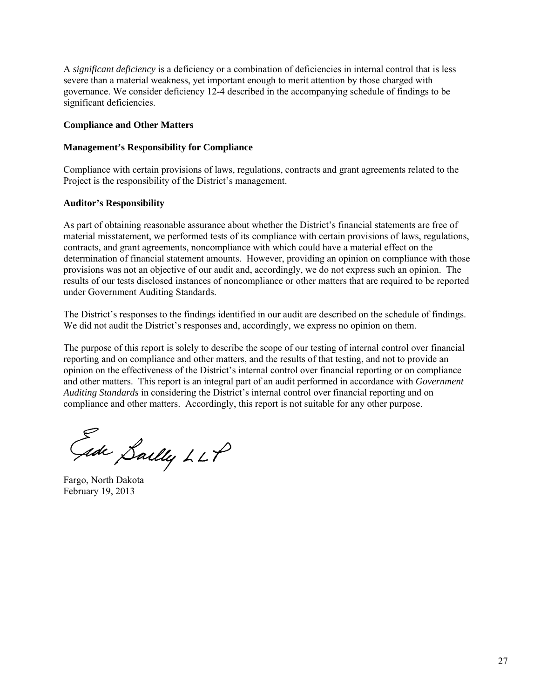A *significant deficiency* is a deficiency or a combination of deficiencies in internal control that is less severe than a material weakness, yet important enough to merit attention by those charged with governance. We consider deficiency 12-4 described in the accompanying schedule of findings to be significant deficiencies.

#### **Compliance and Other Matters**

#### **Management's Responsibility for Compliance**

Compliance with certain provisions of laws, regulations, contracts and grant agreements related to the Project is the responsibility of the District's management.

#### **Auditor's Responsibility**

As part of obtaining reasonable assurance about whether the District's financial statements are free of material misstatement, we performed tests of its compliance with certain provisions of laws, regulations, contracts, and grant agreements, noncompliance with which could have a material effect on the determination of financial statement amounts. However, providing an opinion on compliance with those provisions was not an objective of our audit and, accordingly, we do not express such an opinion. The results of our tests disclosed instances of noncompliance or other matters that are required to be reported under Government Auditing Standards.

The District's responses to the findings identified in our audit are described on the schedule of findings. We did not audit the District's responses and, accordingly, we express no opinion on them.

The purpose of this report is solely to describe the scope of our testing of internal control over financial reporting and on compliance and other matters, and the results of that testing, and not to provide an opinion on the effectiveness of the District's internal control over financial reporting or on compliance and other matters. This report is an integral part of an audit performed in accordance with *Government Auditing Standards* in considering the District's internal control over financial reporting and on compliance and other matters. Accordingly, this report is not suitable for any other purpose.

Gide Sailly LLP

Fargo, North Dakota February 19, 2013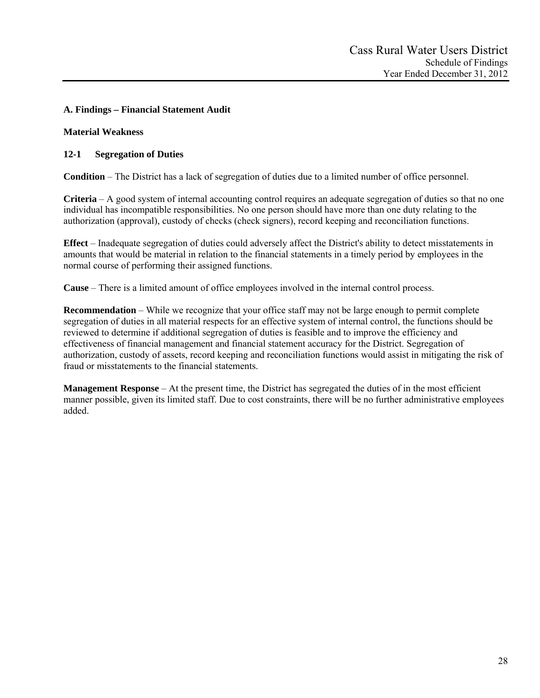# **A. Findings – Financial Statement Audit**

# **Material Weakness**

# **12-1 Segregation of Duties**

**Condition** – The District has a lack of segregation of duties due to a limited number of office personnel.

**Criteria** – A good system of internal accounting control requires an adequate segregation of duties so that no one individual has incompatible responsibilities. No one person should have more than one duty relating to the authorization (approval), custody of checks (check signers), record keeping and reconciliation functions.

**Effect** – Inadequate segregation of duties could adversely affect the District's ability to detect misstatements in amounts that would be material in relation to the financial statements in a timely period by employees in the normal course of performing their assigned functions.

**Cause** – There is a limited amount of office employees involved in the internal control process.

**Recommendation** – While we recognize that your office staff may not be large enough to permit complete segregation of duties in all material respects for an effective system of internal control, the functions should be reviewed to determine if additional segregation of duties is feasible and to improve the efficiency and effectiveness of financial management and financial statement accuracy for the District. Segregation of authorization, custody of assets, record keeping and reconciliation functions would assist in mitigating the risk of fraud or misstatements to the financial statements.

**Management Response** – At the present time, the District has segregated the duties of in the most efficient manner possible, given its limited staff. Due to cost constraints, there will be no further administrative employees added.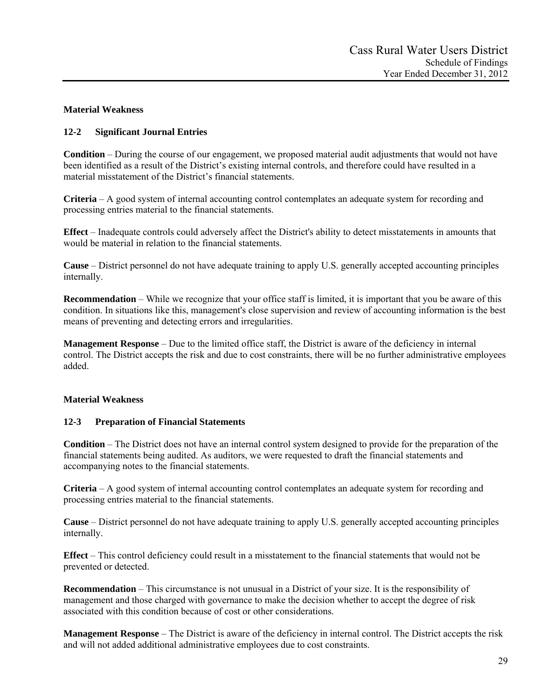# **Material Weakness**

# **12-2 Significant Journal Entries**

**Condition** – During the course of our engagement, we proposed material audit adjustments that would not have been identified as a result of the District's existing internal controls, and therefore could have resulted in a material misstatement of the District's financial statements.

**Criteria** – A good system of internal accounting control contemplates an adequate system for recording and processing entries material to the financial statements.

**Effect** – Inadequate controls could adversely affect the District's ability to detect misstatements in amounts that would be material in relation to the financial statements.

**Cause** – District personnel do not have adequate training to apply U.S. generally accepted accounting principles internally.

**Recommendation** – While we recognize that your office staff is limited, it is important that you be aware of this condition. In situations like this, management's close supervision and review of accounting information is the best means of preventing and detecting errors and irregularities.

**Management Response** – Due to the limited office staff, the District is aware of the deficiency in internal control. The District accepts the risk and due to cost constraints, there will be no further administrative employees added.

## **Material Weakness**

## **12-3 Preparation of Financial Statements**

**Condition** – The District does not have an internal control system designed to provide for the preparation of the financial statements being audited. As auditors, we were requested to draft the financial statements and accompanying notes to the financial statements.

**Criteria** – A good system of internal accounting control contemplates an adequate system for recording and processing entries material to the financial statements.

**Cause** – District personnel do not have adequate training to apply U.S. generally accepted accounting principles internally.

**Effect** – This control deficiency could result in a misstatement to the financial statements that would not be prevented or detected.

**Recommendation** – This circumstance is not unusual in a District of your size. It is the responsibility of management and those charged with governance to make the decision whether to accept the degree of risk associated with this condition because of cost or other considerations.

**Management Response** – The District is aware of the deficiency in internal control. The District accepts the risk and will not added additional administrative employees due to cost constraints.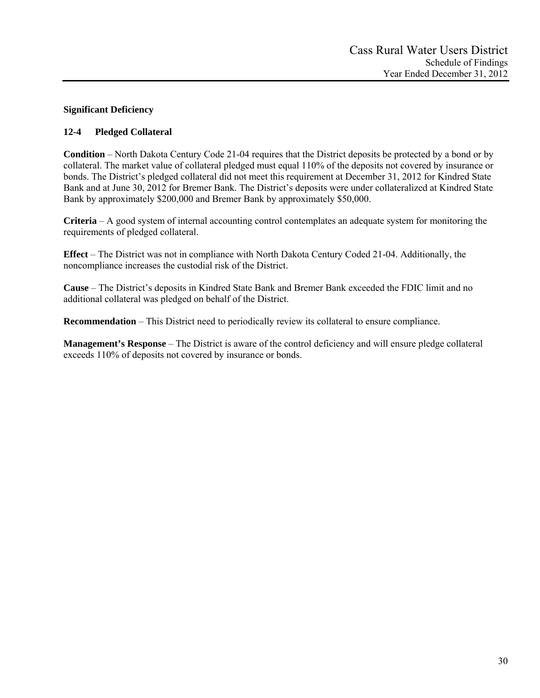# **Significant Deficiency**

# **12-4 Pledged Collateral**

**Condition** – North Dakota Century Code 21-04 requires that the District deposits be protected by a bond or by collateral. The market value of collateral pledged must equal 110% of the deposits not covered by insurance or bonds. The District's pledged collateral did not meet this requirement at December 31, 2012 for Kindred State Bank and at June 30, 2012 for Bremer Bank. The District's deposits were under collateralized at Kindred State Bank by approximately \$200,000 and Bremer Bank by approximately \$50,000.

**Criteria** – A good system of internal accounting control contemplates an adequate system for monitoring the requirements of pledged collateral.

**Effect** – The District was not in compliance with North Dakota Century Coded 21-04. Additionally, the noncompliance increases the custodial risk of the District.

**Cause** – The District's deposits in Kindred State Bank and Bremer Bank exceeded the FDIC limit and no additional collateral was pledged on behalf of the District.

**Recommendation** – This District need to periodically review its collateral to ensure compliance.

**Management's Response** – The District is aware of the control deficiency and will ensure pledge collateral exceeds 110% of deposits not covered by insurance or bonds.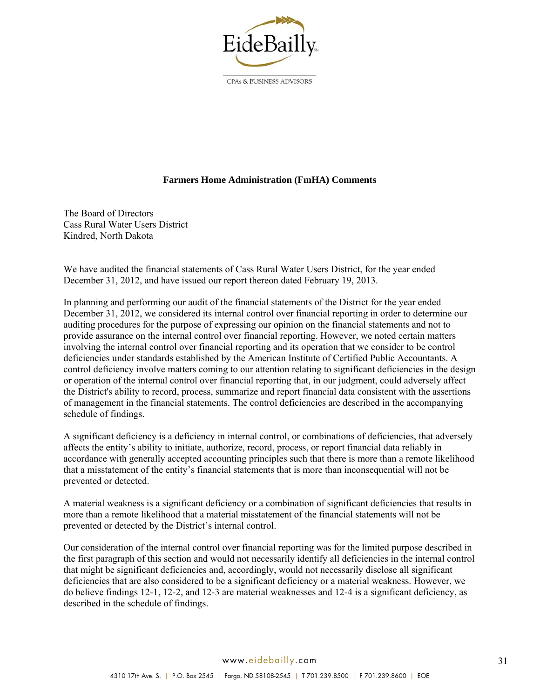

CPAs & BUSINESS ADVISORS

## **Farmers Home Administration (FmHA) Comments**

The Board of Directors Cass Rural Water Users District Kindred, North Dakota

We have audited the financial statements of Cass Rural Water Users District, for the year ended December 31, 2012, and have issued our report thereon dated February 19, 2013.

In planning and performing our audit of the financial statements of the District for the year ended December 31, 2012, we considered its internal control over financial reporting in order to determine our auditing procedures for the purpose of expressing our opinion on the financial statements and not to provide assurance on the internal control over financial reporting. However, we noted certain matters involving the internal control over financial reporting and its operation that we consider to be control deficiencies under standards established by the American Institute of Certified Public Accountants. A control deficiency involve matters coming to our attention relating to significant deficiencies in the design or operation of the internal control over financial reporting that, in our judgment, could adversely affect the District's ability to record, process, summarize and report financial data consistent with the assertions of management in the financial statements. The control deficiencies are described in the accompanying schedule of findings.

A significant deficiency is a deficiency in internal control, or combinations of deficiencies, that adversely affects the entity's ability to initiate, authorize, record, process, or report financial data reliably in accordance with generally accepted accounting principles such that there is more than a remote likelihood that a misstatement of the entity's financial statements that is more than inconsequential will not be prevented or detected.

A material weakness is a significant deficiency or a combination of significant deficiencies that results in more than a remote likelihood that a material misstatement of the financial statements will not be prevented or detected by the District's internal control.

Our consideration of the internal control over financial reporting was for the limited purpose described in the first paragraph of this section and would not necessarily identify all deficiencies in the internal control that might be significant deficiencies and, accordingly, would not necessarily disclose all significant deficiencies that are also considered to be a significant deficiency or a material weakness. However, we do believe findings 12-1, 12-2, and 12-3 are material weaknesses and 12-4 is a significant deficiency, as described in the schedule of findings.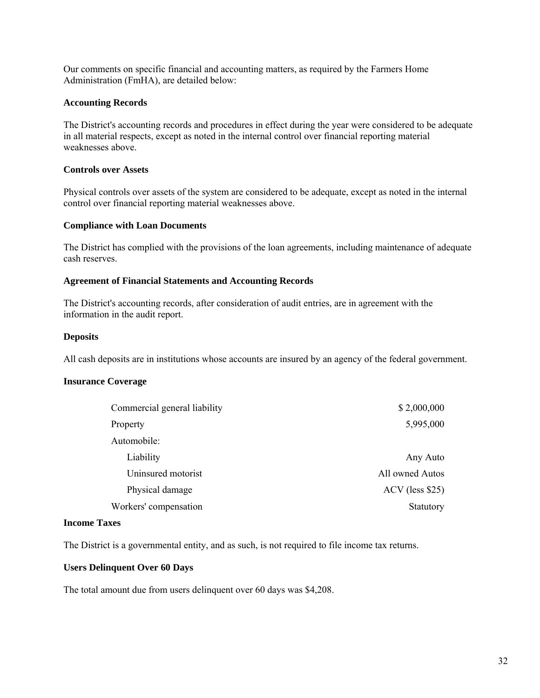Our comments on specific financial and accounting matters, as required by the Farmers Home Administration (FmHA), are detailed below:

## **Accounting Records**

The District's accounting records and procedures in effect during the year were considered to be adequate in all material respects, except as noted in the internal control over financial reporting material weaknesses above.

# **Controls over Assets**

Physical controls over assets of the system are considered to be adequate, except as noted in the internal control over financial reporting material weaknesses above.

## **Compliance with Loan Documents**

The District has complied with the provisions of the loan agreements, including maintenance of adequate cash reserves.

## **Agreement of Financial Statements and Accounting Records**

The District's accounting records, after consideration of audit entries, are in agreement with the information in the audit report.

## **Deposits**

All cash deposits are in institutions whose accounts are insured by an agency of the federal government.

## **Insurance Coverage**

| \$2,000,000       |
|-------------------|
| 5,995,000         |
|                   |
| Any Auto          |
| All owned Autos   |
| $ACV$ (less \$25) |
| Statutory         |
|                   |

## **Income Taxes**

The District is a governmental entity, and as such, is not required to file income tax returns.

## **Users Delinquent Over 60 Days**

The total amount due from users delinquent over 60 days was \$4,208.